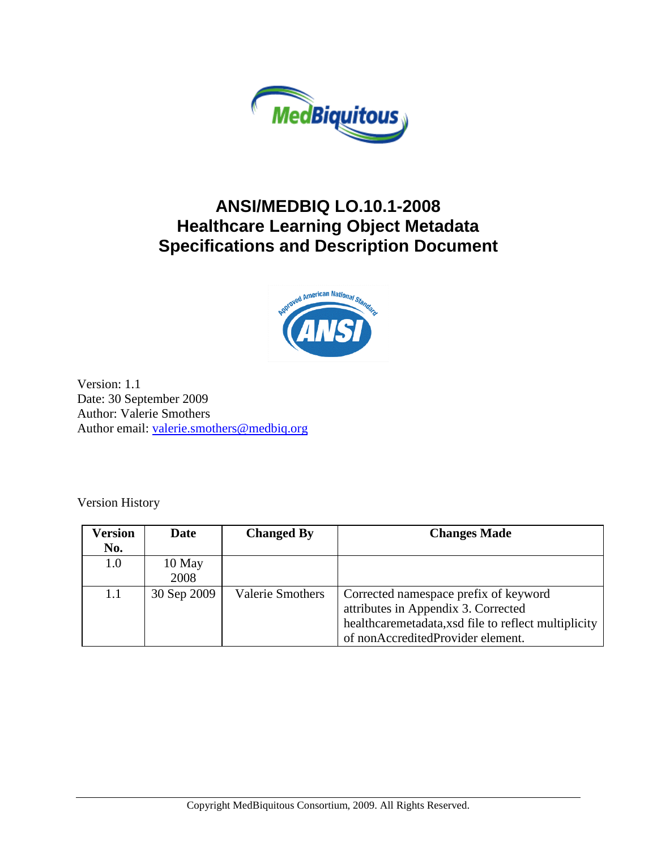

## **ANSI/MEDBIQ LO.10.1-2008 Healthcare Learning Object Metadata Specifications and Description Document**



Version: 1.1 Date: 30 September 2009 Author: Valerie Smothers Author email: [valerie.smothers@medbiq.org](mailto:)

Version History

| Version | <b>Date</b> | <b>Changed By</b>       | <b>Changes Made</b>                                 |
|---------|-------------|-------------------------|-----------------------------------------------------|
| No.     |             |                         |                                                     |
| 1.0     | 10 May      |                         |                                                     |
|         | 2008        |                         |                                                     |
| 1.1     | 30 Sep 2009 | <b>Valerie Smothers</b> | Corrected namespace prefix of keyword               |
|         |             |                         | attributes in Appendix 3. Corrected                 |
|         |             |                         | healthcaremetadata,xsd file to reflect multiplicity |
|         |             |                         | of nonAccreditedProvider element.                   |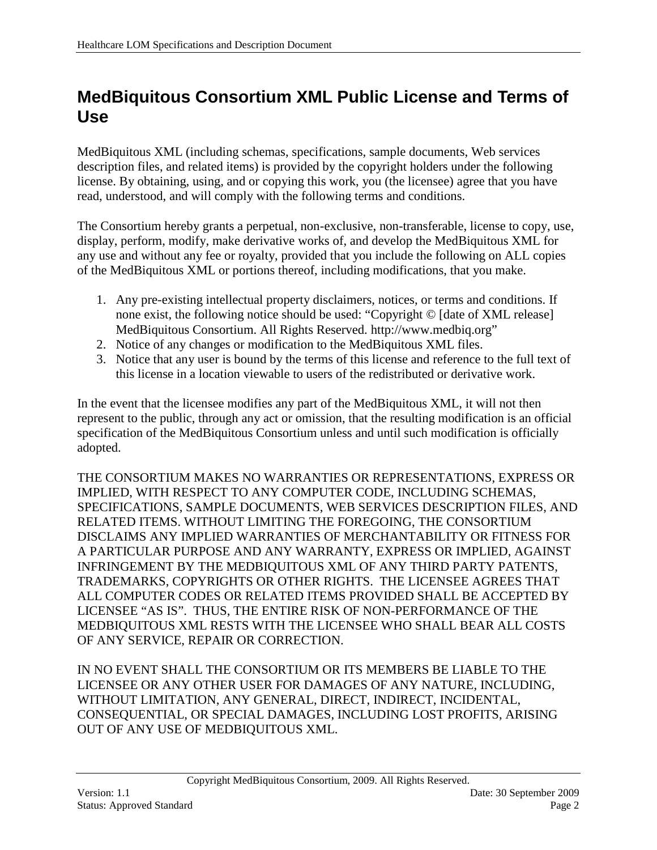## <span id="page-1-0"></span>**MedBiquitous Consortium XML Public License and Terms of Use**

MedBiquitous XML (including schemas, specifications, sample documents, Web services description files, and related items) is provided by the copyright holders under the following license. By obtaining, using, and or copying this work, you (the licensee) agree that you have read, understood, and will comply with the following terms and conditions.

The Consortium hereby grants a perpetual, non-exclusive, non-transferable, license to copy, use, display, perform, modify, make derivative works of, and develop the MedBiquitous XML for any use and without any fee or royalty, provided that you include the following on ALL copies of the MedBiquitous XML or portions thereof, including modifications, that you make.

- 1. Any pre-existing intellectual property disclaimers, notices, or terms and conditions. If none exist, the following notice should be used: "Copyright © [date of XML release] MedBiquitous Consortium. All Rights Reserved. http://www.medbiq.org"
- 2. Notice of any changes or modification to the MedBiquitous XML files.
- 3. Notice that any user is bound by the terms of this license and reference to the full text of this license in a location viewable to users of the redistributed or derivative work.

In the event that the licensee modifies any part of the MedBiquitous XML, it will not then represent to the public, through any act or omission, that the resulting modification is an official specification of the MedBiquitous Consortium unless and until such modification is officially adopted.

THE CONSORTIUM MAKES NO WARRANTIES OR REPRESENTATIONS, EXPRESS OR IMPLIED, WITH RESPECT TO ANY COMPUTER CODE, INCLUDING SCHEMAS, SPECIFICATIONS, SAMPLE DOCUMENTS, WEB SERVICES DESCRIPTION FILES, AND RELATED ITEMS. WITHOUT LIMITING THE FOREGOING, THE CONSORTIUM DISCLAIMS ANY IMPLIED WARRANTIES OF MERCHANTABILITY OR FITNESS FOR A PARTICULAR PURPOSE AND ANY WARRANTY, EXPRESS OR IMPLIED, AGAINST INFRINGEMENT BY THE MEDBIQUITOUS XML OF ANY THIRD PARTY PATENTS, TRADEMARKS, COPYRIGHTS OR OTHER RIGHTS. THE LICENSEE AGREES THAT ALL COMPUTER CODES OR RELATED ITEMS PROVIDED SHALL BE ACCEPTED BY LICENSEE "AS IS". THUS, THE ENTIRE RISK OF NON-PERFORMANCE OF THE MEDBIQUITOUS XML RESTS WITH THE LICENSEE WHO SHALL BEAR ALL COSTS OF ANY SERVICE, REPAIR OR CORRECTION.

IN NO EVENT SHALL THE CONSORTIUM OR ITS MEMBERS BE LIABLE TO THE LICENSEE OR ANY OTHER USER FOR DAMAGES OF ANY NATURE, INCLUDING, WITHOUT LIMITATION, ANY GENERAL, DIRECT, INDIRECT, INCIDENTAL, CONSEQUENTIAL, OR SPECIAL DAMAGES, INCLUDING LOST PROFITS, ARISING OUT OF ANY USE OF MEDBIQUITOUS XML.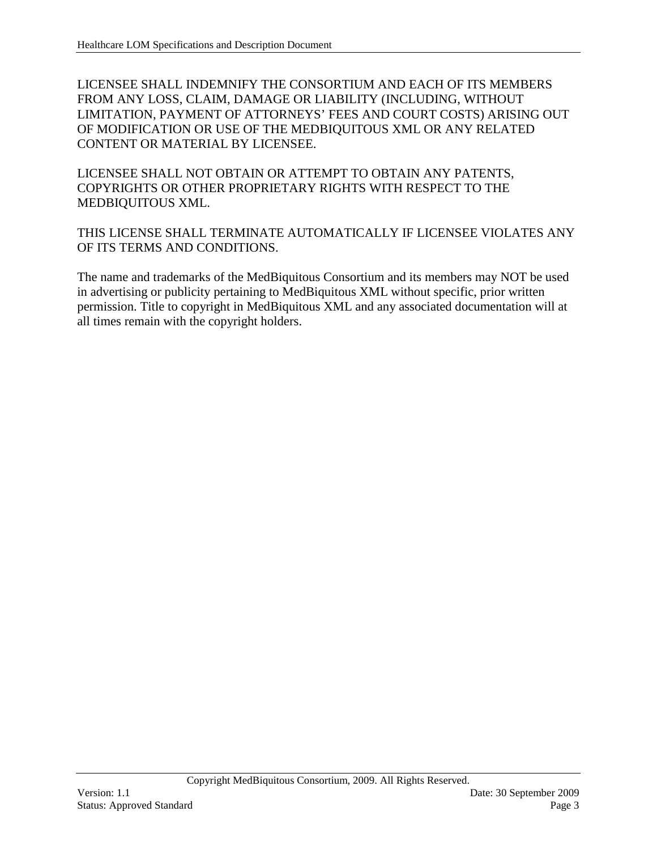LICENSEE SHALL INDEMNIFY THE CONSORTIUM AND EACH OF ITS MEMBERS FROM ANY LOSS, CLAIM, DAMAGE OR LIABILITY (INCLUDING, WITHOUT LIMITATION, PAYMENT OF ATTORNEYS' FEES AND COURT COSTS) ARISING OUT OF MODIFICATION OR USE OF THE MEDBIQUITOUS XML OR ANY RELATED CONTENT OR MATERIAL BY LICENSEE.

LICENSEE SHALL NOT OBTAIN OR ATTEMPT TO OBTAIN ANY PATENTS, COPYRIGHTS OR OTHER PROPRIETARY RIGHTS WITH RESPECT TO THE MEDBIQUITOUS XML.

THIS LICENSE SHALL TERMINATE AUTOMATICALLY IF LICENSEE VIOLATES ANY OF ITS TERMS AND CONDITIONS.

The name and trademarks of the MedBiquitous Consortium and its members may NOT be used in advertising or publicity pertaining to MedBiquitous XML without specific, prior written permission. Title to copyright in MedBiquitous XML and any associated documentation will at all times remain with the copyright holders.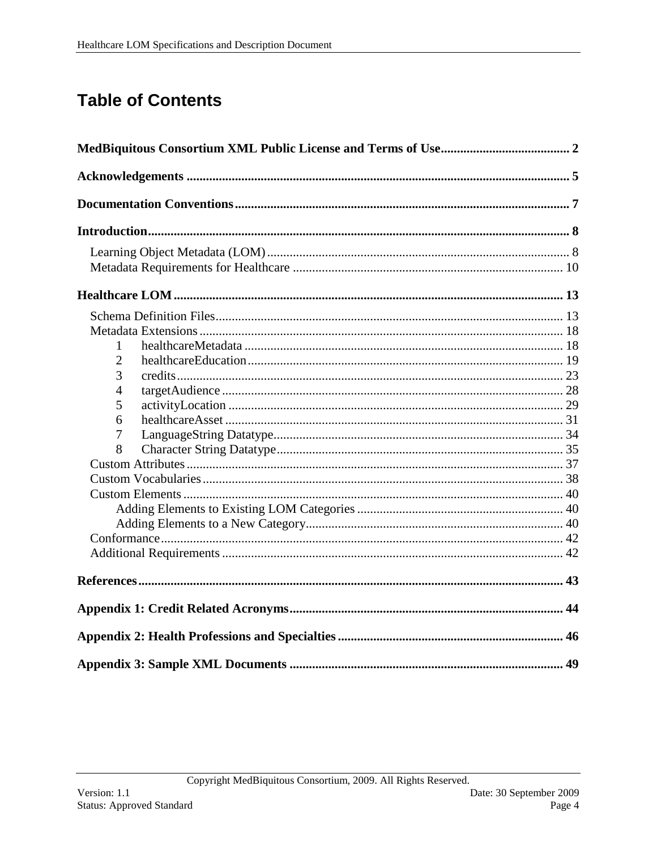# **Table of Contents**

| 1              |  |
|----------------|--|
| $\overline{2}$ |  |
| 3              |  |
| $\overline{4}$ |  |
| 5              |  |
| 6              |  |
| 7              |  |
| 8              |  |
|                |  |
|                |  |
|                |  |
|                |  |
|                |  |
|                |  |
|                |  |
|                |  |
|                |  |
|                |  |
|                |  |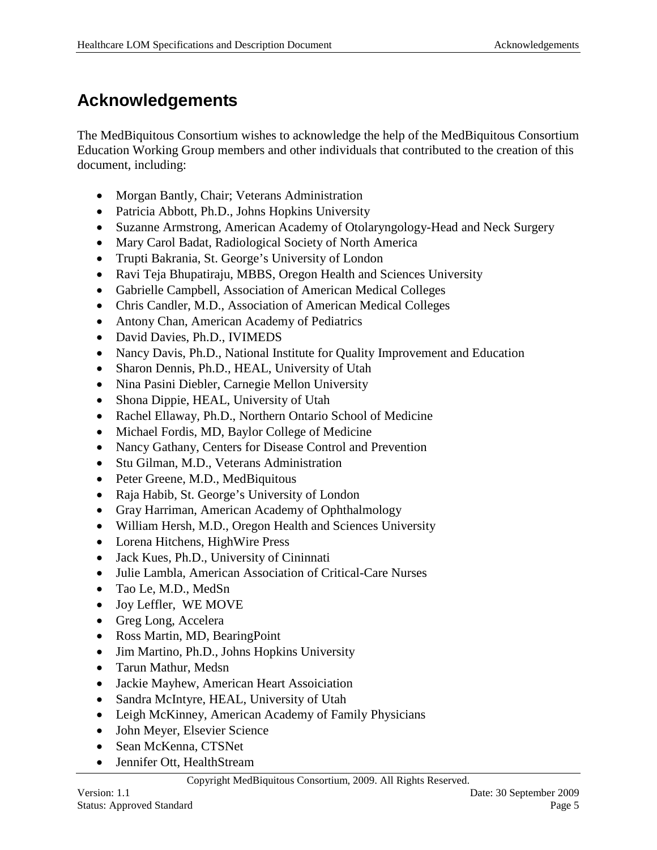# <span id="page-4-0"></span>**Acknowledgements**

The MedBiquitous Consortium wishes to acknowledge the help of the MedBiquitous Consortium Education Working Group members and other individuals that contributed to the creation of this document, including:

- Morgan Bantly, Chair; Veterans Administration
- Patricia Abbott, Ph.D., Johns Hopkins University
- Suzanne Armstrong, American Academy of Otolaryngology-Head and Neck Surgery
- Mary Carol Badat, Radiological Society of North America
- Trupti Bakrania, St. George's University of London
- Ravi Teja Bhupatiraju, MBBS, Oregon Health and Sciences University
- Gabrielle Campbell, Association of American Medical Colleges
- Chris Candler, M.D., Association of American Medical Colleges
- Antony Chan, American Academy of Pediatrics
- David Davies, Ph.D., IVIMEDS
- Nancy Davis, Ph.D., National Institute for Quality Improvement and Education
- Sharon Dennis, Ph.D., HEAL, University of Utah
- Nina Pasini Diebler, Carnegie Mellon University
- Shona Dippie, HEAL, University of Utah
- Rachel Ellaway, Ph.D., Northern Ontario School of Medicine
- Michael Fordis, MD, Baylor College of Medicine
- Nancy Gathany, Centers for Disease Control and Prevention
- Stu Gilman, M.D., Veterans Administration
- Peter Greene, M.D., MedBiquitous
- Raja Habib, St. George's University of London
- Gray Harriman, American Academy of Ophthalmology
- William Hersh, M.D., Oregon Health and Sciences University
- Lorena Hitchens, HighWire Press
- Jack Kues, Ph.D., University of Cininnati
- Julie Lambla, American Association of Critical-Care Nurses
- Tao Le, M.D., MedSn
- Joy Leffler, WE MOVE
- Greg Long, Accelera
- Ross Martin, MD, BearingPoint
- Jim Martino, Ph.D., Johns Hopkins University
- Tarun Mathur, Medsn
- Jackie Mayhew, American Heart Assoiciation
- Sandra McIntyre, HEAL, University of Utah
- Leigh McKinney, American Academy of Family Physicians
- John Meyer, Elsevier Science
- Sean McKenna, CTSNet
- Jennifer Ott, HealthStream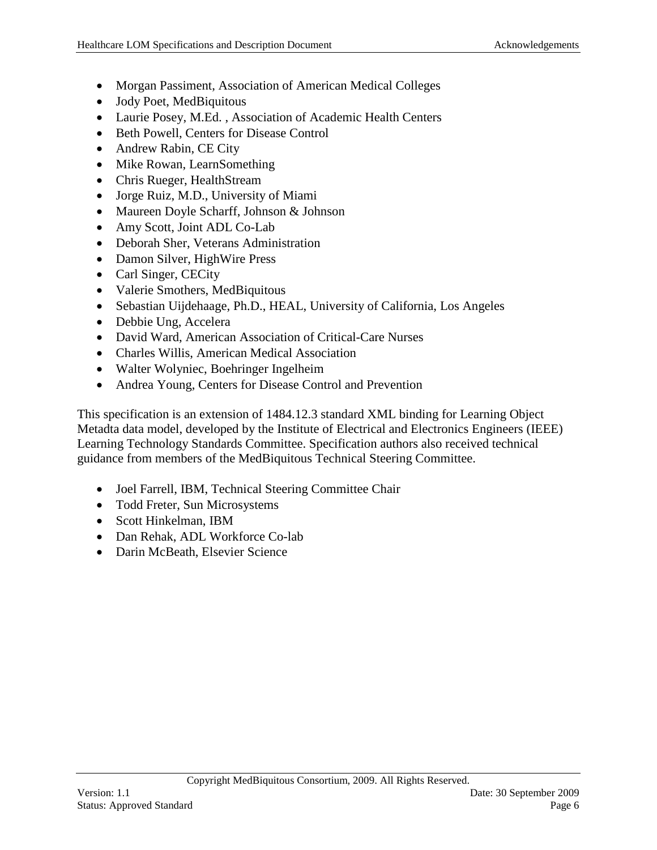- Morgan Passiment, Association of American Medical Colleges
- Jody Poet, MedBiquitous
- Laurie Posey, M.Ed. , Association of Academic Health Centers
- Beth Powell, Centers for Disease Control
- Andrew Rabin, CE City
- Mike Rowan, LearnSomething
- Chris Rueger, HealthStream
- Jorge Ruiz, M.D., University of Miami
- Maureen Doyle Scharff, Johnson & Johnson
- Amy Scott, Joint ADL Co-Lab
- Deborah Sher, Veterans Administration
- Damon Silver, HighWire Press
- Carl Singer, CECity
- Valerie Smothers, MedBiquitous
- Sebastian Uijdehaage, Ph.D., HEAL, University of California, Los Angeles
- Debbie Ung, Accelera
- David Ward, American Association of Critical-Care Nurses
- Charles Willis, American Medical Association
- Walter Wolyniec, Boehringer Ingelheim
- Andrea Young, Centers for Disease Control and Prevention

This specification is an extension of 1484.12.3 standard XML binding for Learning Object Metadta data model, developed by the Institute of Electrical and Electronics Engineers (IEEE) Learning Technology Standards Committee. Specification authors also received technical guidance from members of the MedBiquitous Technical Steering Committee.

- Joel Farrell, IBM, Technical Steering Committee Chair
- Todd Freter, Sun Microsystems
- Scott Hinkelman, IBM
- Dan Rehak, ADL Workforce Co-lab
- Darin McBeath, Elsevier Science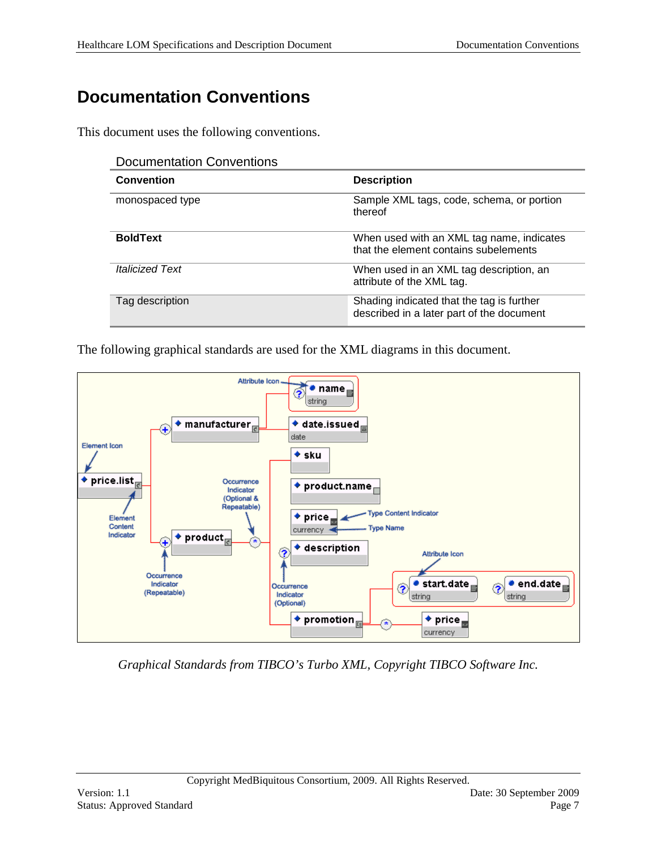# <span id="page-6-0"></span>**Documentation Conventions**

This document uses the following conventions.

| <b>Documentation Conventions</b> |                                                                                        |  |  |  |
|----------------------------------|----------------------------------------------------------------------------------------|--|--|--|
| <b>Convention</b>                | <b>Description</b>                                                                     |  |  |  |
| monospaced type                  | Sample XML tags, code, schema, or portion<br>thereof                                   |  |  |  |
| <b>BoldText</b>                  | When used with an XML tag name, indicates<br>that the element contains subelements     |  |  |  |
| <i><b>Italicized Text</b></i>    | When used in an XML tag description, an<br>attribute of the XML tag.                   |  |  |  |
| Tag description                  | Shading indicated that the tag is further<br>described in a later part of the document |  |  |  |

The following graphical standards are used for the XML diagrams in this document.



*Graphical Standards from TIBCO's Turbo XML, Copyright TIBCO Software Inc.*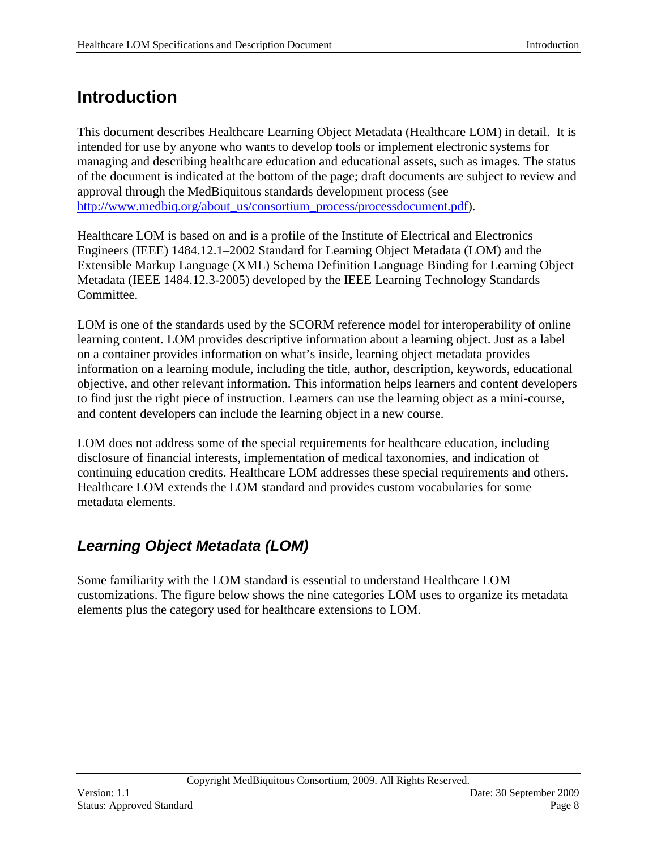# <span id="page-7-0"></span>**Introduction**

This document describes Healthcare Learning Object Metadata (Healthcare LOM) in detail. It is intended for use by anyone who wants to develop tools or implement electronic systems for managing and describing healthcare education and educational assets, such as images. The status of the document is indicated at the bottom of the page; draft documents are subject to review and approval through the MedBiquitous standards development process (see http://www.medbig.org/about\_us/consortium\_process/processdocument.pdf).

Healthcare LOM is based on and is a profile of the Institute of Electrical and Electronics Engineers (IEEE) 1484.12.1–2002 Standard for Learning Object Metadata (LOM) and the Extensible Markup Language (XML) Schema Definition Language Binding for Learning Object Metadata (IEEE 1484.12.3-2005) developed by the IEEE Learning Technology Standards Committee.

LOM is one of the standards used by the SCORM reference model for interoperability of online learning content. LOM provides descriptive information about a learning object. Just as a label on a container provides information on what's inside, learning object metadata provides information on a learning module, including the title, author, description, keywords, educational objective, and other relevant information. This information helps learners and content developers to find just the right piece of instruction. Learners can use the learning object as a mini-course, and content developers can include the learning object in a new course.

LOM does not address some of the special requirements for healthcare education, including disclosure of financial interests, implementation of medical taxonomies, and indication of continuing education credits. Healthcare LOM addresses these special requirements and others. Healthcare LOM extends the LOM standard and provides custom vocabularies for some metadata elements.

## <span id="page-7-1"></span>*Learning Object Metadata (LOM)*

Some familiarity with the LOM standard is essential to understand Healthcare LOM customizations. The figure below shows the nine categories LOM uses to organize its metadata elements plus the category used for healthcare extensions to LOM.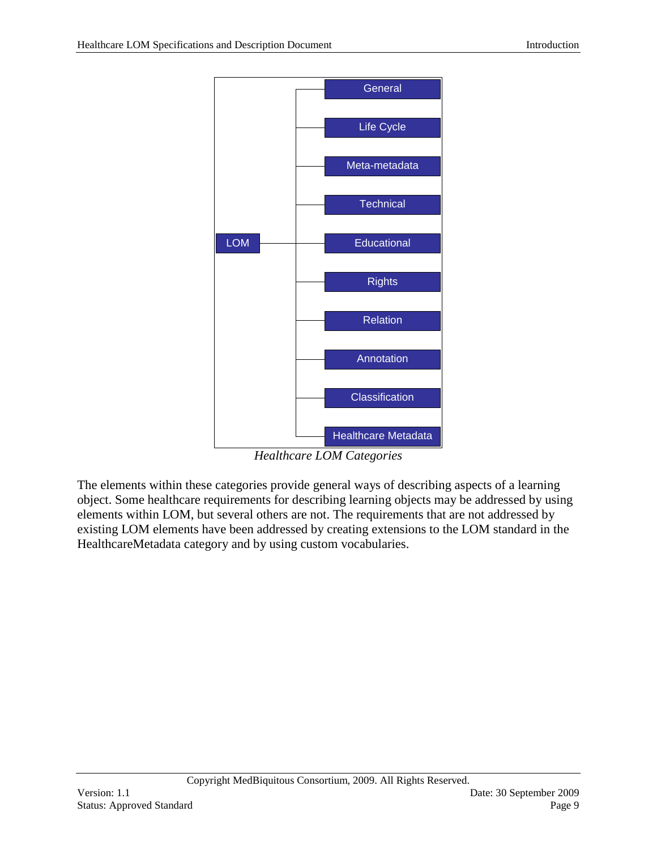

*Healthcare LOM Categories*

The elements within these categories provide general ways of describing aspects of a learning object. Some healthcare requirements for describing learning objects may be addressed by using elements within LOM, but several others are not. The requirements that are not addressed by existing LOM elements have been addressed by creating extensions to the LOM standard in the HealthcareMetadata category and by using custom vocabularies.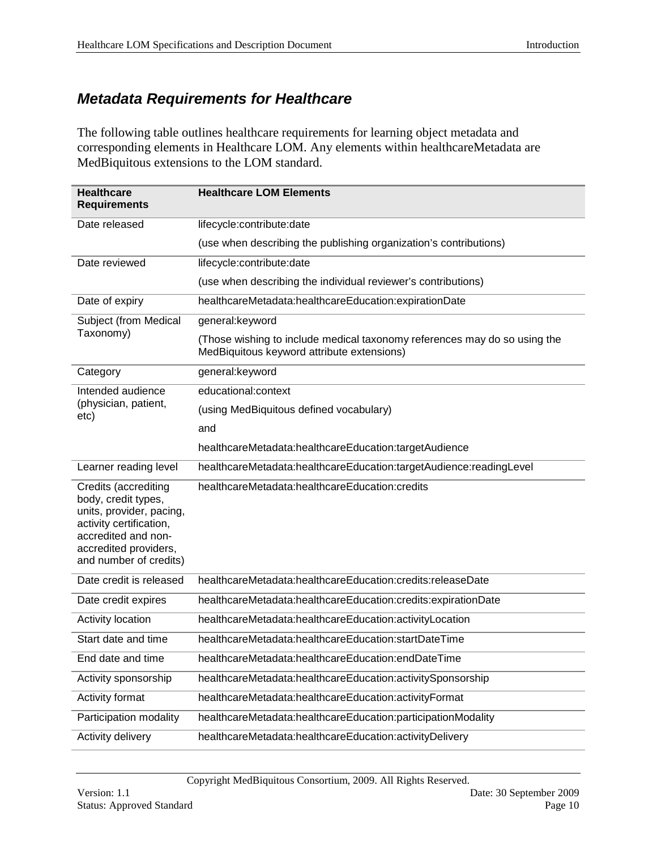## <span id="page-9-0"></span>*Metadata Requirements for Healthcare*

The following table outlines healthcare requirements for learning object metadata and corresponding elements in Healthcare LOM. Any elements within healthcareMetadata are MedBiquitous extensions to the LOM standard.

| <b>Healthcare</b><br><b>Requirements</b>                                                                                                                                     | <b>Healthcare LOM Elements</b>                                                                                          |  |  |
|------------------------------------------------------------------------------------------------------------------------------------------------------------------------------|-------------------------------------------------------------------------------------------------------------------------|--|--|
| Date released                                                                                                                                                                | lifecycle:contribute:date                                                                                               |  |  |
|                                                                                                                                                                              | (use when describing the publishing organization's contributions)                                                       |  |  |
| Date reviewed                                                                                                                                                                | lifecycle:contribute:date                                                                                               |  |  |
|                                                                                                                                                                              | (use when describing the individual reviewer's contributions)                                                           |  |  |
| Date of expiry                                                                                                                                                               | healthcareMetadata:healthcareEducation:expirationDate                                                                   |  |  |
| Subject (from Medical                                                                                                                                                        | general: keyword                                                                                                        |  |  |
| Taxonomy)                                                                                                                                                                    | (Those wishing to include medical taxonomy references may do so using the<br>MedBiquitous keyword attribute extensions) |  |  |
| Category                                                                                                                                                                     | general: keyword                                                                                                        |  |  |
| Intended audience                                                                                                                                                            | educational:context                                                                                                     |  |  |
| (physician, patient,<br>etc)                                                                                                                                                 | (using MedBiquitous defined vocabulary)                                                                                 |  |  |
|                                                                                                                                                                              | and                                                                                                                     |  |  |
|                                                                                                                                                                              | healthcareMetadata:healthcareEducation:targetAudience                                                                   |  |  |
| Learner reading level                                                                                                                                                        | healthcareMetadata:healthcareEducation:targetAudience:readingLevel                                                      |  |  |
| Credits (accrediting<br>body, credit types,<br>units, provider, pacing,<br>activity certification,<br>accredited and non-<br>accredited providers,<br>and number of credits) | healthcareMetadata:healthcareEducation:credits                                                                          |  |  |
| Date credit is released                                                                                                                                                      | healthcareMetadata:healthcareEducation:credits:releaseDate                                                              |  |  |
| Date credit expires                                                                                                                                                          | healthcareMetadata:healthcareEducation:credits:expirationDate                                                           |  |  |
| Activity location                                                                                                                                                            | healthcareMetadata:healthcareEducation:activityLocation                                                                 |  |  |
| Start date and time                                                                                                                                                          | healthcareMetadata:healthcareEducation:startDateTime                                                                    |  |  |
| End date and time                                                                                                                                                            | healthcareMetadata:healthcareEducation:endDateTime                                                                      |  |  |
| Activity sponsorship                                                                                                                                                         | healthcareMetadata:healthcareEducation:activitySponsorship                                                              |  |  |
| Activity format                                                                                                                                                              | healthcareMetadata:healthcareEducation:activityFormat                                                                   |  |  |
| Participation modality                                                                                                                                                       | healthcareMetadata:healthcareEducation:participationModality                                                            |  |  |
| Activity delivery                                                                                                                                                            | healthcareMetadata:healthcareEducation:activityDelivery                                                                 |  |  |

Copyright MedBiquitous Consortium, 2009. All Rights Reserved.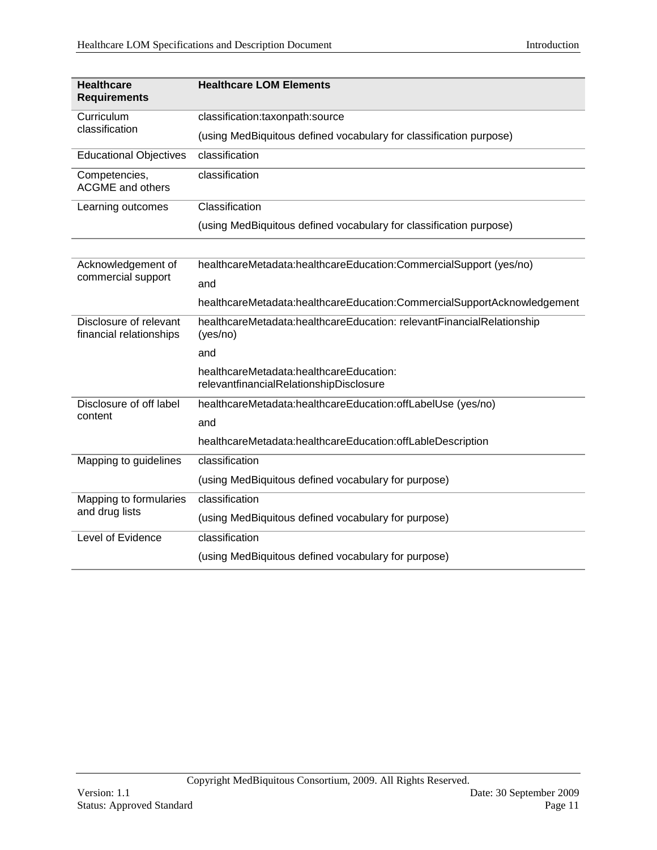| <b>Healthcare</b><br><b>Requirements</b>          | <b>Healthcare LOM Elements</b>                                                     |  |  |
|---------------------------------------------------|------------------------------------------------------------------------------------|--|--|
| Curriculum                                        | classification:taxonpath:source                                                    |  |  |
| classification                                    | (using MedBiquitous defined vocabulary for classification purpose)                 |  |  |
| <b>Educational Objectives</b>                     | classification                                                                     |  |  |
| Competencies,<br><b>ACGME</b> and others          | classification                                                                     |  |  |
| Learning outcomes                                 | Classification                                                                     |  |  |
|                                                   | (using MedBiquitous defined vocabulary for classification purpose)                 |  |  |
|                                                   |                                                                                    |  |  |
| Acknowledgement of                                | healthcareMetadata:healthcareEducation:CommercialSupport (yes/no)                  |  |  |
| commercial support                                | and                                                                                |  |  |
|                                                   | healthcareMetadata:healthcareEducation:CommercialSupportAcknowledgement            |  |  |
| Disclosure of relevant<br>financial relationships | healthcareMetadata:healthcareEducation: relevantFinancialRelationship<br>(yes/no)  |  |  |
|                                                   | and                                                                                |  |  |
|                                                   | healthcareMetadata:healthcareEducation:<br>relevantfinancialRelationshipDisclosure |  |  |
| Disclosure of off label                           | healthcareMetadata:healthcareEducation:offLabelUse (yes/no)                        |  |  |
| content                                           | and                                                                                |  |  |
|                                                   | healthcareMetadata:healthcareEducation:offLableDescription                         |  |  |
| Mapping to guidelines                             | classification                                                                     |  |  |
|                                                   | (using MedBiquitous defined vocabulary for purpose)                                |  |  |
| Mapping to formularies                            | classification                                                                     |  |  |
| and drug lists                                    | (using MedBiquitous defined vocabulary for purpose)                                |  |  |
| Level of Evidence                                 | classification                                                                     |  |  |
|                                                   | (using MedBiquitous defined vocabulary for purpose)                                |  |  |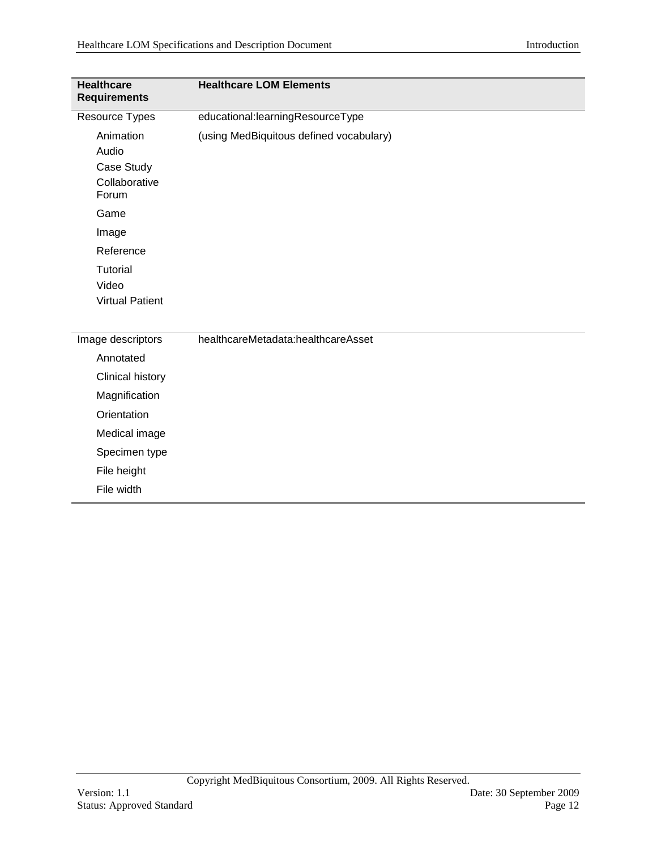| Resource Types<br>educational:learningResourceType<br>Animation<br>(using MedBiquitous defined vocabulary)<br>Audio<br>Case Study<br>Collaborative<br>Forum<br>Game<br>Image<br>Reference<br>Tutorial<br>Video<br><b>Virtual Patient</b><br>Image descriptors<br>healthcareMetadata:healthcareAsset<br>Annotated<br>Clinical history<br>Magnification<br>Orientation<br>Medical image<br>Specimen type<br>File height<br>File width | <b>Healthcare</b><br><b>Requirements</b> | <b>Healthcare LOM Elements</b> |
|-------------------------------------------------------------------------------------------------------------------------------------------------------------------------------------------------------------------------------------------------------------------------------------------------------------------------------------------------------------------------------------------------------------------------------------|------------------------------------------|--------------------------------|
|                                                                                                                                                                                                                                                                                                                                                                                                                                     |                                          |                                |
|                                                                                                                                                                                                                                                                                                                                                                                                                                     |                                          |                                |
|                                                                                                                                                                                                                                                                                                                                                                                                                                     |                                          |                                |
|                                                                                                                                                                                                                                                                                                                                                                                                                                     |                                          |                                |
|                                                                                                                                                                                                                                                                                                                                                                                                                                     |                                          |                                |
|                                                                                                                                                                                                                                                                                                                                                                                                                                     |                                          |                                |
|                                                                                                                                                                                                                                                                                                                                                                                                                                     |                                          |                                |
|                                                                                                                                                                                                                                                                                                                                                                                                                                     |                                          |                                |
|                                                                                                                                                                                                                                                                                                                                                                                                                                     |                                          |                                |
|                                                                                                                                                                                                                                                                                                                                                                                                                                     |                                          |                                |
|                                                                                                                                                                                                                                                                                                                                                                                                                                     |                                          |                                |
|                                                                                                                                                                                                                                                                                                                                                                                                                                     |                                          |                                |
|                                                                                                                                                                                                                                                                                                                                                                                                                                     |                                          |                                |
|                                                                                                                                                                                                                                                                                                                                                                                                                                     |                                          |                                |
|                                                                                                                                                                                                                                                                                                                                                                                                                                     |                                          |                                |
|                                                                                                                                                                                                                                                                                                                                                                                                                                     |                                          |                                |
|                                                                                                                                                                                                                                                                                                                                                                                                                                     |                                          |                                |
|                                                                                                                                                                                                                                                                                                                                                                                                                                     |                                          |                                |
|                                                                                                                                                                                                                                                                                                                                                                                                                                     |                                          |                                |
|                                                                                                                                                                                                                                                                                                                                                                                                                                     |                                          |                                |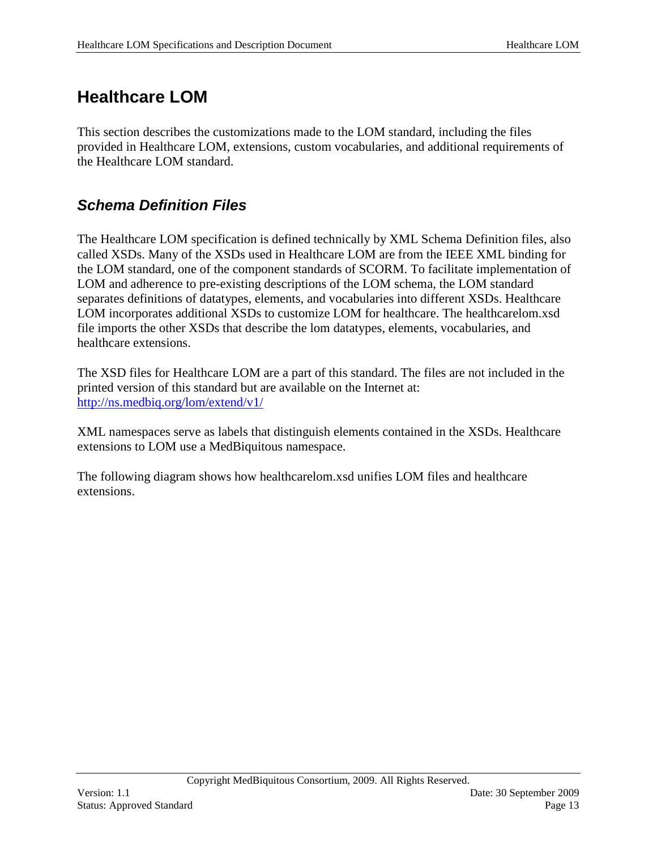# <span id="page-12-2"></span><span id="page-12-0"></span>**Healthcare LOM**

This section describes the customizations made to the LOM standard, including the files provided in Healthcare LOM, extensions, custom vocabularies, and additional requirements of the Healthcare LOM standard.

## <span id="page-12-1"></span>*Schema Definition Files*

The Healthcare LOM specification is defined technically by XML Schema Definition files, also called XSDs. Many of the XSDs used in Healthcare LOM are from the IEEE XML binding for the LOM standard, one of the component standards of SCORM. To facilitate implementation of LOM and adherence to pre-existing descriptions of the LOM schema, the LOM standard separates definitions of datatypes, elements, and vocabularies into different XSDs. Healthcare LOM incorporates additional XSDs to customize LOM for healthcare. The healthcarelom.xsd file imports the other XSDs that describe the lom datatypes, elements, vocabularies, and healthcare extensions.

The XSD files for Healthcare LOM are a part of this standard. The files are not included in the printed version of this standard but are available on the Internet at: <http://ns.medbiq.org/lom/extend/v1/>

XML namespaces serve as labels that distinguish elements contained in the XSDs. Healthcare extensions to LOM use a MedBiquitous namespace.

The following diagram shows how healthcarelom.xsd unifies LOM files and healthcare extensions.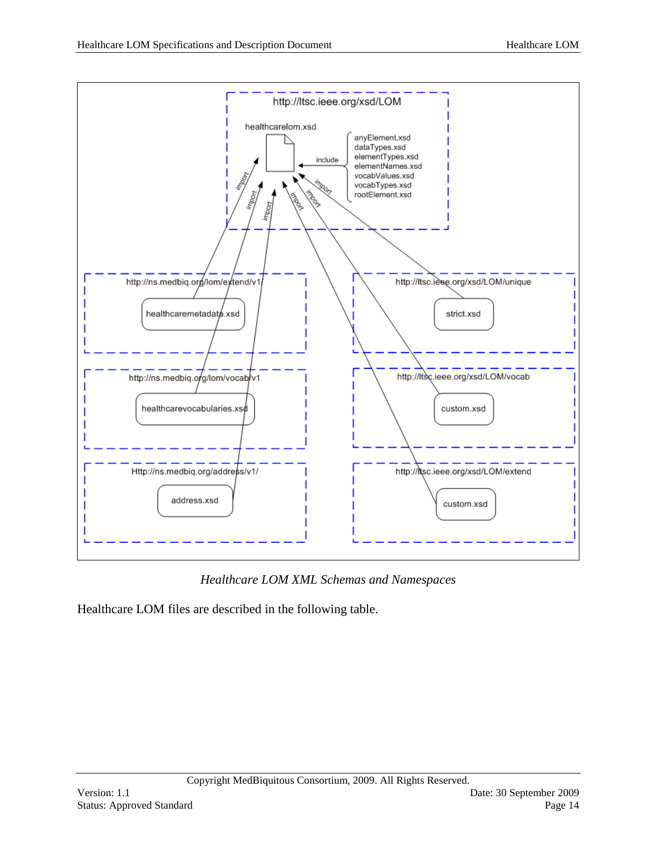

*Healthcare LOM XML Schemas and Namespaces*

Healthcare LOM files are described in the following table.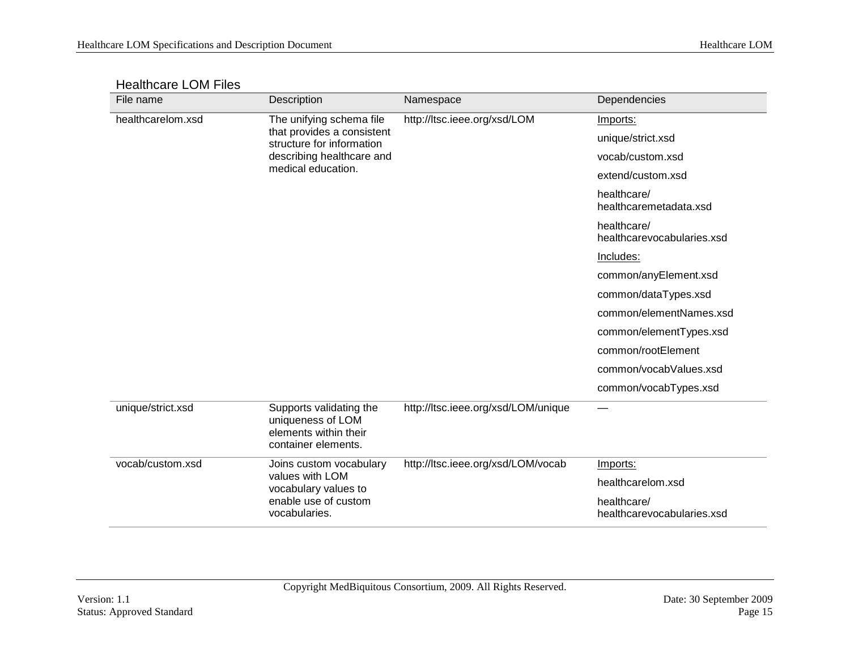| <b>Healthcare LOM Files</b> |  |  |
|-----------------------------|--|--|
|-----------------------------|--|--|

| File name         | Description                                                                                                                            | Namespace                           | Dependencies                              |
|-------------------|----------------------------------------------------------------------------------------------------------------------------------------|-------------------------------------|-------------------------------------------|
| healthcarelom.xsd | The unifying schema file<br>that provides a consistent<br>structure for information<br>describing healthcare and<br>medical education. | http://ltsc.ieee.org/xsd/LOM        | Imports:                                  |
|                   |                                                                                                                                        |                                     | unique/strict.xsd                         |
|                   |                                                                                                                                        |                                     | vocab/custom.xsd                          |
|                   |                                                                                                                                        |                                     | extend/custom.xsd                         |
|                   |                                                                                                                                        |                                     | healthcare/<br>healthcaremetadata.xsd     |
|                   |                                                                                                                                        |                                     | healthcare/<br>healthcarevocabularies.xsd |
|                   |                                                                                                                                        |                                     | Includes:                                 |
|                   |                                                                                                                                        |                                     | common/anyElement.xsd                     |
|                   |                                                                                                                                        |                                     | common/dataTypes.xsd                      |
|                   |                                                                                                                                        |                                     | common/elementNames.xsd                   |
|                   |                                                                                                                                        |                                     | common/elementTypes.xsd                   |
|                   |                                                                                                                                        |                                     | common/rootElement                        |
|                   |                                                                                                                                        |                                     | common/vocabValues.xsd                    |
|                   |                                                                                                                                        |                                     | common/vocabTypes.xsd                     |
| unique/strict.xsd | Supports validating the<br>uniqueness of LOM<br>elements within their<br>container elements.                                           | http://ltsc.ieee.org/xsd/LOM/unique |                                           |
| vocab/custom.xsd  | Joins custom vocabulary<br>values with LOM<br>vocabulary values to<br>enable use of custom                                             | http://ltsc.ieee.org/xsd/LOM/vocab  | <u>Imports:</u>                           |
|                   |                                                                                                                                        |                                     | healthcarelom.xsd                         |
|                   |                                                                                                                                        |                                     | healthcare/                               |
|                   | vocabularies.                                                                                                                          |                                     | healthcarevocabularies.xsd                |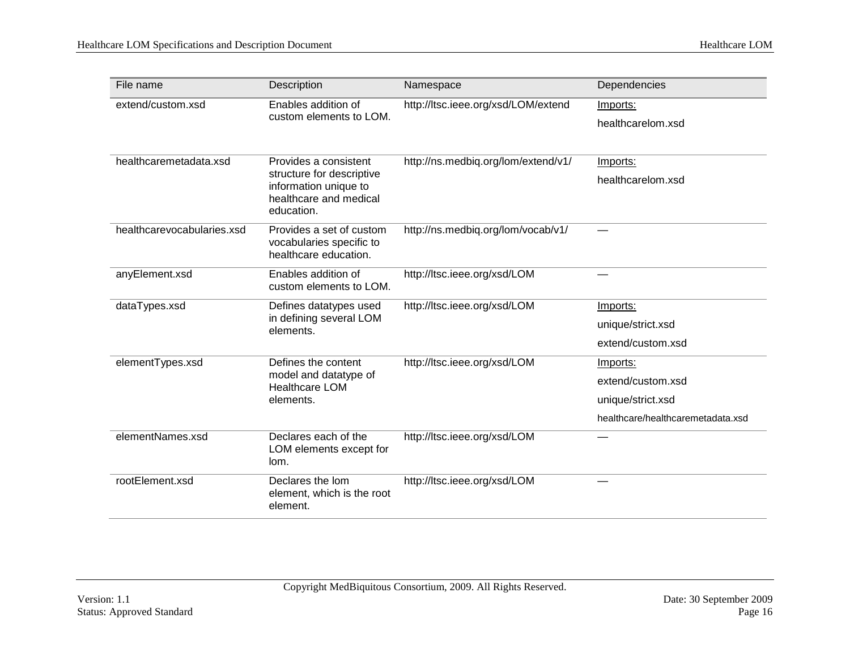| File name                  | Description                                                                                                         | Namespace                           | Dependencies                      |
|----------------------------|---------------------------------------------------------------------------------------------------------------------|-------------------------------------|-----------------------------------|
| extend/custom.xsd          | Enables addition of                                                                                                 | http://ltsc.ieee.org/xsd/LOM/extend | Imports:                          |
|                            | custom elements to LOM.                                                                                             |                                     | healthcarelom.xsd                 |
|                            |                                                                                                                     |                                     |                                   |
| healthcaremetadata.xsd     | Provides a consistent<br>structure for descriptive<br>information unique to<br>healthcare and medical<br>education. | http://ns.medbiq.org/lom/extend/v1/ | Imports:                          |
|                            |                                                                                                                     |                                     | healthcarelom.xsd                 |
| healthcarevocabularies.xsd | Provides a set of custom<br>vocabularies specific to<br>healthcare education.                                       | http://ns.medbiq.org/lom/vocab/v1/  |                                   |
| anyElement.xsd             | Enables addition of<br>custom elements to LOM.                                                                      | http://ltsc.ieee.org/xsd/LOM        |                                   |
| dataTypes.xsd              | Defines datatypes used<br>in defining several LOM<br>elements.                                                      | http://ltsc.ieee.org/xsd/LOM        | Imports:                          |
|                            |                                                                                                                     |                                     | unique/strict.xsd                 |
|                            |                                                                                                                     |                                     | extend/custom.xsd                 |
| elementTypes.xsd           | Defines the content<br>model and datatype of<br><b>Healthcare LOM</b><br>elements.                                  | http://ltsc.ieee.org/xsd/LOM        | Imports:                          |
|                            |                                                                                                                     |                                     | extend/custom.xsd                 |
|                            |                                                                                                                     |                                     | unique/strict.xsd                 |
|                            |                                                                                                                     |                                     | healthcare/healthcaremetadata.xsd |
| elementNames.xsd           | Declares each of the<br>LOM elements except for<br>lom.                                                             | http://ltsc.ieee.org/xsd/LOM        |                                   |
| rootElement.xsd            | Declares the lom<br>element, which is the root<br>element.                                                          | http://ltsc.ieee.org/xsd/LOM        |                                   |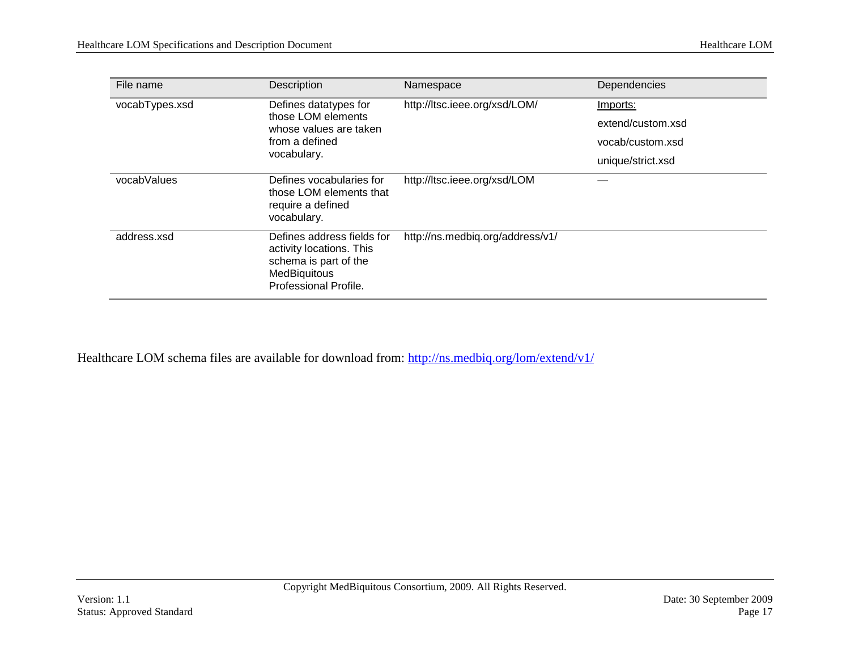| File name      | Description                                                                                                              | Namespace                        | Dependencies      |
|----------------|--------------------------------------------------------------------------------------------------------------------------|----------------------------------|-------------------|
| vocabTypes.xsd | Defines datatypes for<br>those LOM elements<br>whose values are taken<br>from a defined<br>vocabulary.                   | http://ltsc.ieee.org/xsd/LOM/    | Imports:          |
|                |                                                                                                                          |                                  | extend/custom.xsd |
|                |                                                                                                                          |                                  | vocab/custom.xsd  |
|                |                                                                                                                          |                                  | unique/strict.xsd |
| vocabValues    | Defines vocabularies for<br>those LOM elements that<br>require a defined<br>vocabulary.                                  | http://ltsc.ieee.org/xsd/LOM     |                   |
| address.xsd    | Defines address fields for<br>activity locations. This<br>schema is part of the<br>MedBiquitous<br>Professional Profile. | http://ns.medbiq.org/address/v1/ |                   |

Healthcare LOM schema files are available for download from:<http://ns.medbiq.org/lom/extend/v1/>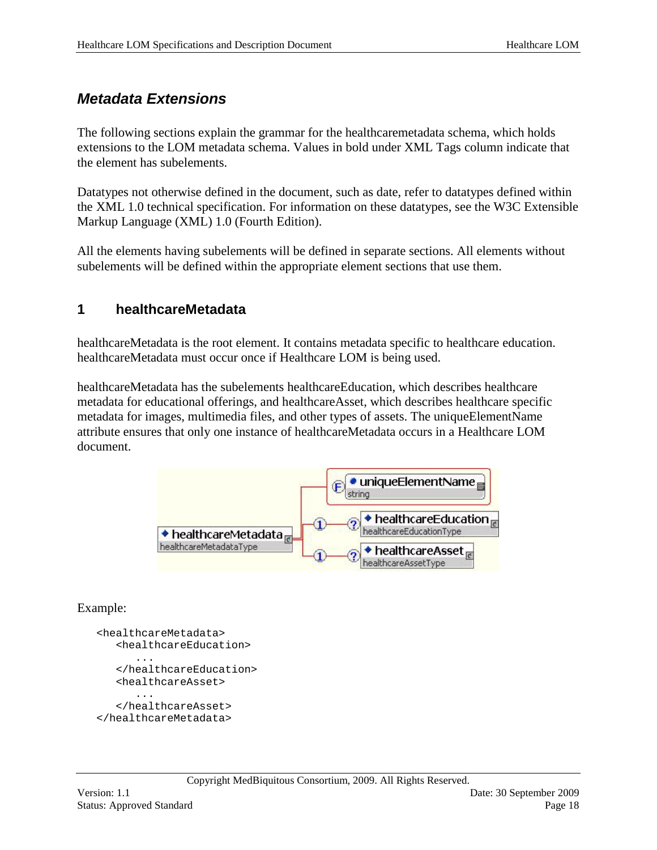### <span id="page-17-0"></span>*Metadata Extensions*

The following sections explain the grammar for the healthcaremetadata schema, which holds extensions to the LOM metadata schema. Values in bold under XML Tags column indicate that the element has subelements.

Datatypes not otherwise defined in the document, such as date, refer to datatypes defined within the XML 1.0 technical specification. For information on these datatypes, see the W3C Extensible Markup Language (XML) 1.0 (Fourth Edition).

All the elements having subelements will be defined in separate sections. All elements without subelements will be defined within the appropriate element sections that use them.

### <span id="page-17-1"></span>**1 healthcareMetadata**

healthcareMetadata is the root element. It contains metadata specific to healthcare education. healthcareMetadata must occur once if Healthcare LOM is being used.

healthcareMetadata has the subelements healthcareEducation, which describes healthcare metadata for educational offerings, and healthcareAsset, which describes healthcare specific metadata for images, multimedia files, and other types of assets. The uniqueElementName attribute ensures that only one instance of healthcareMetadata occurs in a Healthcare LOM document.



#### Example:

```
<healthcareMetadata>
   <healthcareEducation>
      ...
   </healthcareEducation>
   <healthcareAsset>
      ...
   </healthcareAsset>
</healthcareMetadata>
```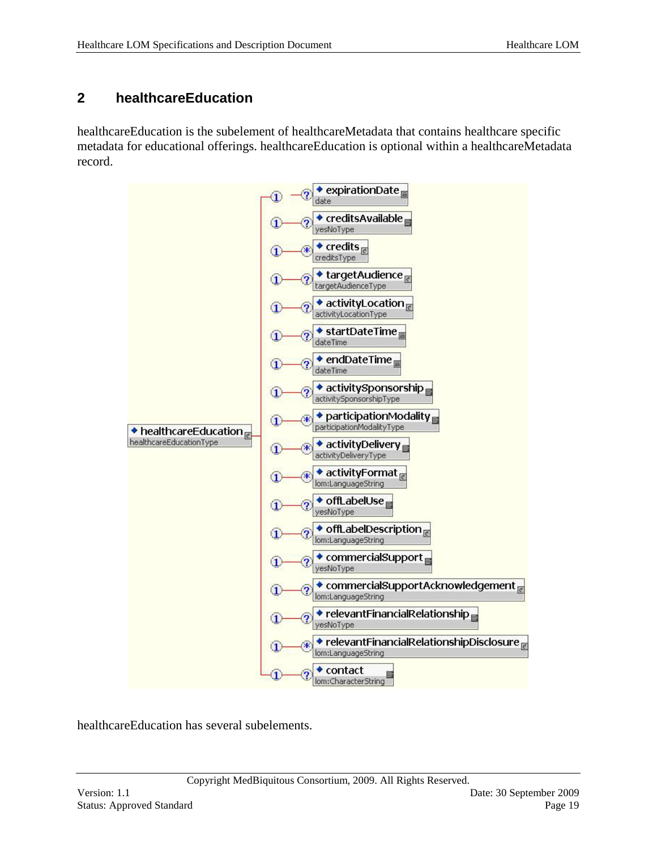### <span id="page-18-0"></span>**2 healthcareEducation**

healthcareEducation is the subelement of healthcareMetadata that contains healthcare specific metadata for educational offerings. healthcareEducation is optional within a healthcareMetadata record.



healthcareEducation has several subelements.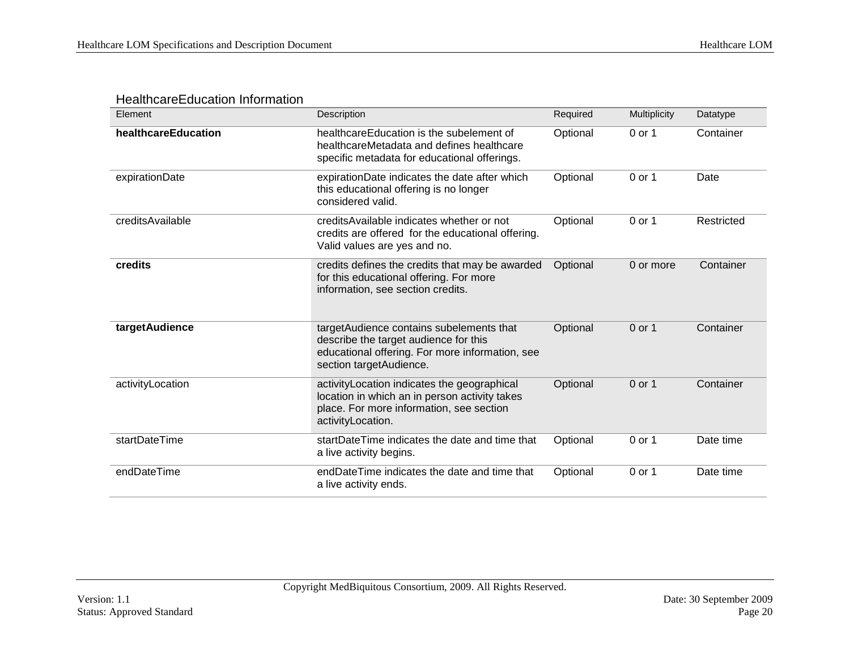| <b>HealthcareEducation Information</b> |  |
|----------------------------------------|--|
|----------------------------------------|--|

| Element             | Description                                                                                                                                                     | Required | Multiplicity | Datatype   |
|---------------------|-----------------------------------------------------------------------------------------------------------------------------------------------------------------|----------|--------------|------------|
| healthcareEducation | healthcareEducation is the subelement of<br>healthcareMetadata and defines healthcare<br>specific metadata for educational offerings.                           | Optional | 0 or 1       | Container  |
| expirationDate      | expirationDate indicates the date after which<br>this educational offering is no longer<br>considered valid.                                                    | Optional | 0 or 1       | Date       |
| creditsAvailable    | credits Available indicates whether or not<br>credits are offered for the educational offering.<br>Valid values are yes and no.                                 | Optional | 0 or 1       | Restricted |
| credits             | credits defines the credits that may be awarded<br>for this educational offering. For more<br>information, see section credits.                                 | Optional | 0 or more    | Container  |
| targetAudience      | targetAudience contains subelements that<br>describe the target audience for this<br>educational offering. For more information, see<br>section targetAudience. | Optional | 0 or 1       | Container  |
| activityLocation    | activity Location indicates the geographical<br>location in which an in person activity takes<br>place. For more information, see section<br>activityLocation.  | Optional | 0 or 1       | Container  |
| startDateTime       | startDateTime indicates the date and time that<br>a live activity begins.                                                                                       | Optional | 0 or 1       | Date time  |
| endDateTime         | endDateTime indicates the date and time that<br>a live activity ends.                                                                                           | Optional | $0$ or 1     | Date time  |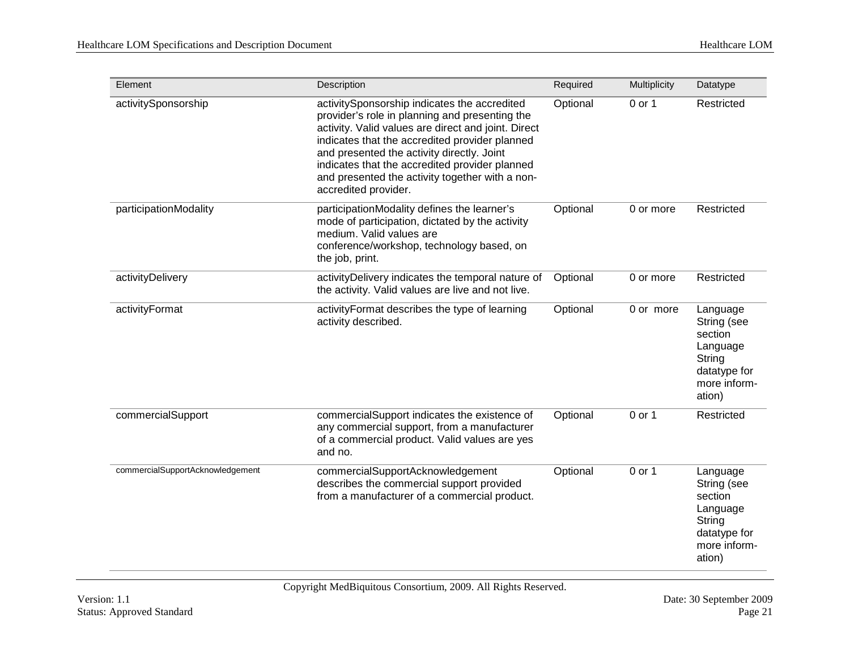| Element                          | Description                                                                                                                                                                                                                                                                                                                                                                        | Required | Multiplicity | Datatype                                                                                           |
|----------------------------------|------------------------------------------------------------------------------------------------------------------------------------------------------------------------------------------------------------------------------------------------------------------------------------------------------------------------------------------------------------------------------------|----------|--------------|----------------------------------------------------------------------------------------------------|
| activitySponsorship              | activitySponsorship indicates the accredited<br>provider's role in planning and presenting the<br>activity. Valid values are direct and joint. Direct<br>indicates that the accredited provider planned<br>and presented the activity directly. Joint<br>indicates that the accredited provider planned<br>and presented the activity together with a non-<br>accredited provider. | Optional | 0 or 1       | Restricted                                                                                         |
| participationModality            | participationModality defines the learner's<br>mode of participation, dictated by the activity<br>medium. Valid values are<br>conference/workshop, technology based, on<br>the job, print.                                                                                                                                                                                         | Optional | 0 or more    | Restricted                                                                                         |
| activityDelivery                 | activityDelivery indicates the temporal nature of<br>the activity. Valid values are live and not live.                                                                                                                                                                                                                                                                             | Optional | 0 or more    | Restricted                                                                                         |
| activityFormat                   | activityFormat describes the type of learning<br>activity described.                                                                                                                                                                                                                                                                                                               | Optional | 0 or more    | Language<br>String (see<br>section<br>Language<br>String<br>datatype for<br>more inform-<br>ation) |
| commercialSupport                | commercialSupport indicates the existence of<br>any commercial support, from a manufacturer<br>of a commercial product. Valid values are yes<br>and no.                                                                                                                                                                                                                            | Optional | $0$ or 1     | Restricted                                                                                         |
| commercialSupportAcknowledgement | commercialSupportAcknowledgement<br>describes the commercial support provided<br>from a manufacturer of a commercial product.                                                                                                                                                                                                                                                      | Optional | 0 or 1       | Language<br>String (see<br>section<br>Language<br>String<br>datatype for<br>more inform-<br>ation) |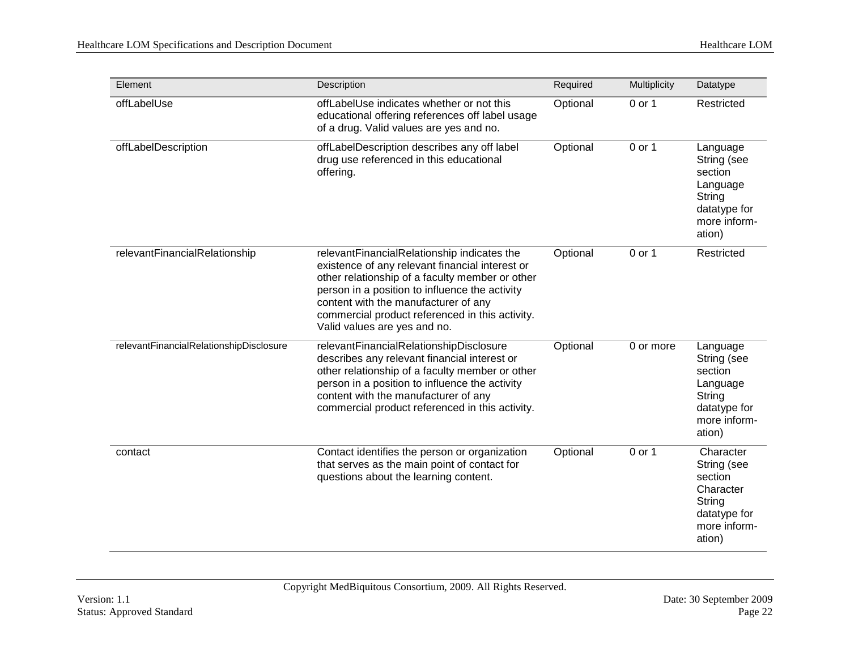| Element                                 | Description                                                                                                                                                                                                                                                                                                                    | Required | Multiplicity | Datatype                                                                                             |
|-----------------------------------------|--------------------------------------------------------------------------------------------------------------------------------------------------------------------------------------------------------------------------------------------------------------------------------------------------------------------------------|----------|--------------|------------------------------------------------------------------------------------------------------|
| offLabelUse                             | offLabelUse indicates whether or not this<br>educational offering references off label usage<br>of a drug. Valid values are yes and no.                                                                                                                                                                                        | Optional | 0 or 1       | Restricted                                                                                           |
| offLabelDescription                     | offLabelDescription describes any off label<br>drug use referenced in this educational<br>offering.                                                                                                                                                                                                                            | Optional | 0 or 1       | Language<br>String (see<br>section<br>Language<br>String<br>datatype for<br>more inform-<br>ation)   |
| relevantFinancialRelationship           | relevantFinancialRelationship indicates the<br>existence of any relevant financial interest or<br>other relationship of a faculty member or other<br>person in a position to influence the activity<br>content with the manufacturer of any<br>commercial product referenced in this activity.<br>Valid values are yes and no. | Optional | 0 or 1       | Restricted                                                                                           |
| relevantFinancialRelationshipDisclosure | relevantFinancialRelationshipDisclosure<br>describes any relevant financial interest or<br>other relationship of a faculty member or other<br>person in a position to influence the activity<br>content with the manufacturer of any<br>commercial product referenced in this activity.                                        | Optional | 0 or more    | Language<br>String (see<br>section<br>Language<br>String<br>datatype for<br>more inform-<br>ation)   |
| contact                                 | Contact identifies the person or organization<br>that serves as the main point of contact for<br>questions about the learning content.                                                                                                                                                                                         | Optional | 0 or 1       | Character<br>String (see<br>section<br>Character<br>String<br>datatype for<br>more inform-<br>ation) |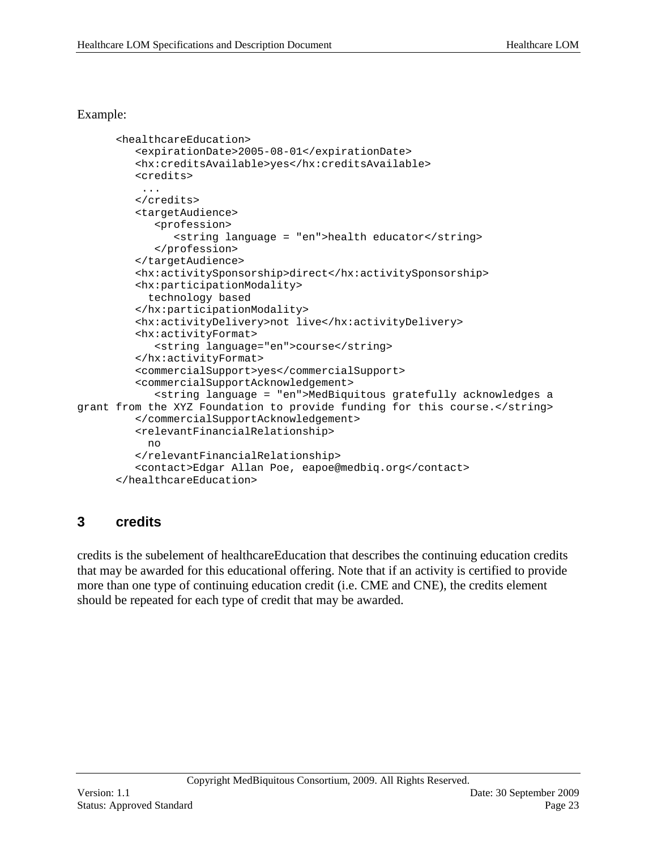#### Example:

```
<healthcareEducation>
         <expirationDate>2005-08-01</expirationDate>
         <hx:creditsAvailable>yes</hx:creditsAvailable>
         <credits>
          ...
         </credits>
         <targetAudience>
            <profession>
               <string language = "en">health educator</string>
            </profession>
         </targetAudience>
         <hx:activitySponsorship>direct</hx:activitySponsorship>
         <hx:participationModality>
            technology based
         </hx:participationModality>
         <hx:activityDelivery>not live</hx:activityDelivery>
         <hx:activityFormat>
            <string language="en">course</string>
         </hx:activityFormat>
         <commercialSupport>yes</commercialSupport>
         <commercialSupportAcknowledgement>
            <string language = "en">MedBiquitous gratefully acknowledges a 
grant from the XYZ Foundation to provide funding for this course.</string>
         </commercialSupportAcknowledgement>
         <relevantFinancialRelationship>
            no
         </relevantFinancialRelationship>
         <contact>Edgar Allan Poe, eapoe@medbiq.org</contact>
      </healthcareEducation>
```
### <span id="page-22-0"></span>**3 credits**

credits is the subelement of healthcareEducation that describes the continuing education credits that may be awarded for this educational offering. Note that if an activity is certified to provide more than one type of continuing education credit (i.e. CME and CNE), the credits element should be repeated for each type of credit that may be awarded.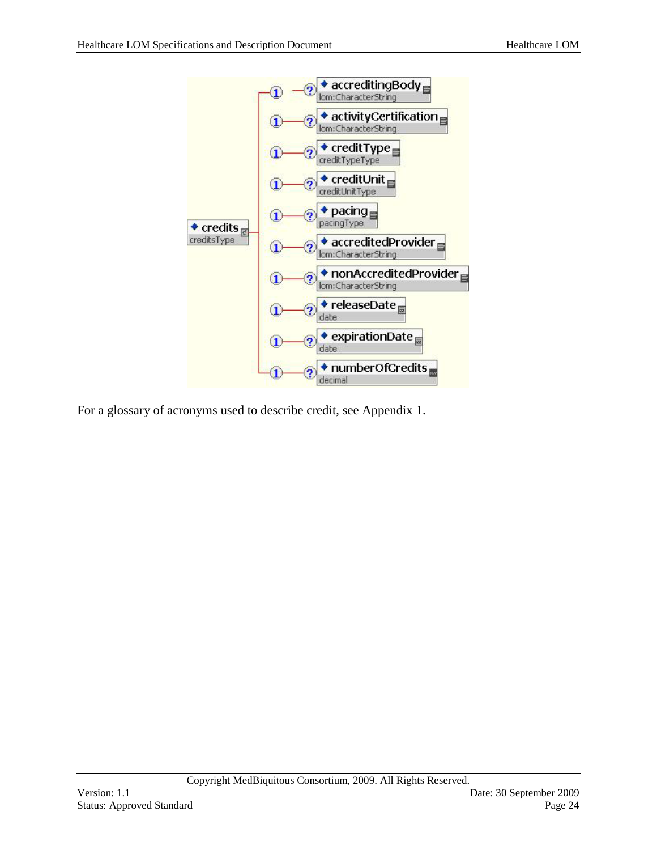

For a glossary of acronyms used to describe credit, see Appendix 1.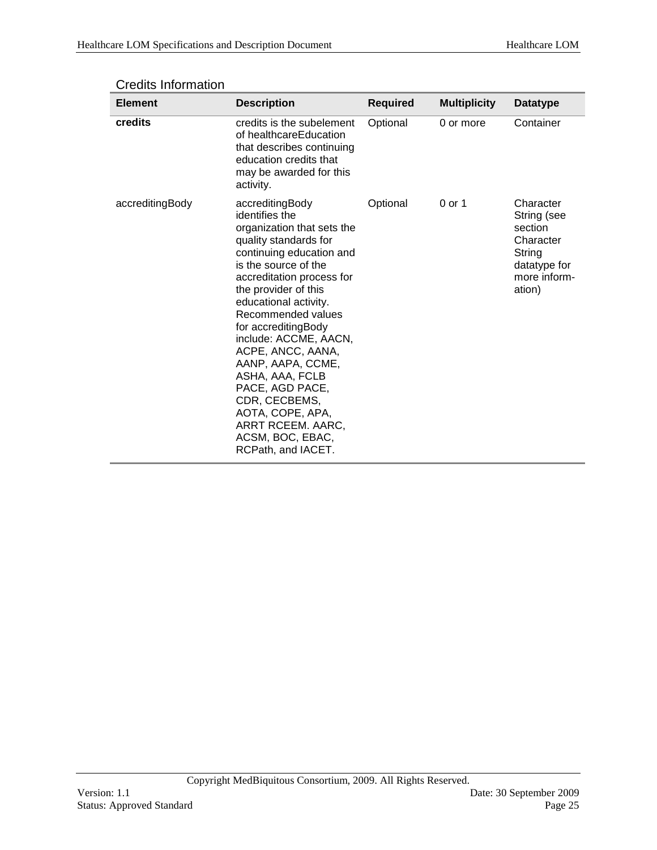| <b>Element</b>  | <b>Description</b>                                                                                                                                                                                                                                                                                                                                                                                                                                                                   | <b>Required</b> | <b>Multiplicity</b> | <b>Datatype</b>                                                                                      |
|-----------------|--------------------------------------------------------------------------------------------------------------------------------------------------------------------------------------------------------------------------------------------------------------------------------------------------------------------------------------------------------------------------------------------------------------------------------------------------------------------------------------|-----------------|---------------------|------------------------------------------------------------------------------------------------------|
| credits         | credits is the subelement<br>of healthcareEducation<br>that describes continuing<br>education credits that<br>may be awarded for this<br>activity.                                                                                                                                                                                                                                                                                                                                   | Optional        | 0 or more           | Container                                                                                            |
| accreditingBody | accreditingBody<br>identifies the<br>organization that sets the<br>quality standards for<br>continuing education and<br>is the source of the<br>accreditation process for<br>the provider of this<br>educational activity.<br>Recommended values<br>for accreditingBody<br>include: ACCME, AACN,<br>ACPE, ANCC, AANA,<br>AANP, AAPA, CCME,<br>ASHA, AAA, FCLB<br>PACE, AGD PACE,<br>CDR, CECBEMS,<br>AOTA, COPE, APA,<br>ARRT RCEEM. AARC,<br>ACSM, BOC, EBAC,<br>RCPath, and IACET. | Optional        | 0 or 1              | Character<br>String (see<br>section<br>Character<br>String<br>datatype for<br>more inform-<br>ation) |

### Credits Information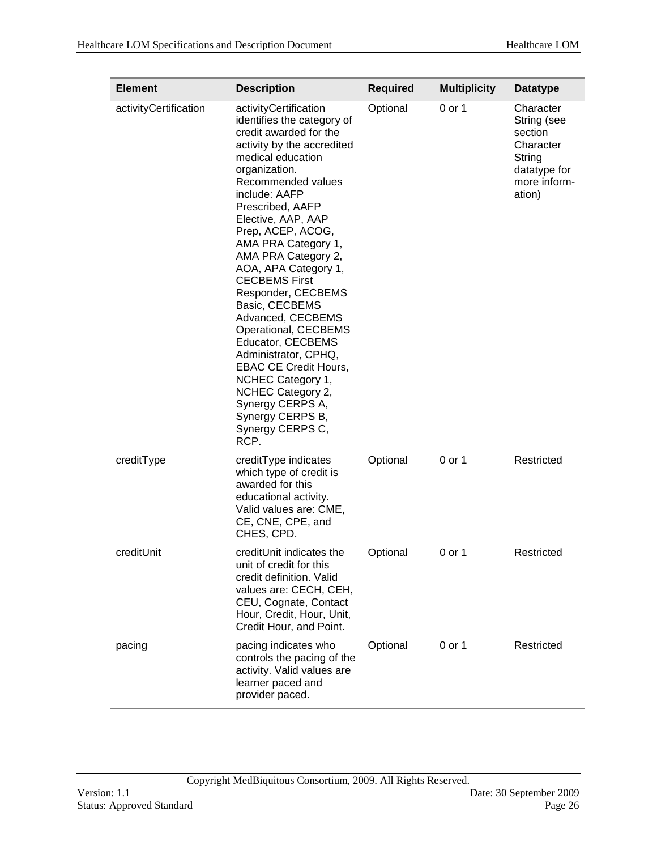| <b>Element</b>        | <b>Description</b>                                                                                                                                                                                                                                                                                                                                                                                                                                                                                                                                                                                                                    | <b>Required</b> | <b>Multiplicity</b> | <b>Datatype</b>                                                                                      |
|-----------------------|---------------------------------------------------------------------------------------------------------------------------------------------------------------------------------------------------------------------------------------------------------------------------------------------------------------------------------------------------------------------------------------------------------------------------------------------------------------------------------------------------------------------------------------------------------------------------------------------------------------------------------------|-----------------|---------------------|------------------------------------------------------------------------------------------------------|
| activityCertification | activityCertification<br>identifies the category of<br>credit awarded for the<br>activity by the accredited<br>medical education<br>organization.<br>Recommended values<br>include: AAFP<br>Prescribed, AAFP<br>Elective, AAP, AAP<br>Prep, ACEP, ACOG,<br>AMA PRA Category 1,<br>AMA PRA Category 2,<br>AOA, APA Category 1,<br><b>CECBEMS First</b><br>Responder, CECBEMS<br>Basic, CECBEMS<br>Advanced, CECBEMS<br>Operational, CECBEMS<br>Educator, CECBEMS<br>Administrator, CPHQ,<br><b>EBAC CE Credit Hours,</b><br>NCHEC Category 1,<br>NCHEC Category 2,<br>Synergy CERPS A,<br>Synergy CERPS B,<br>Synergy CERPS C,<br>RCP. | Optional        | $0$ or $1$          | Character<br>String (see<br>section<br>Character<br>String<br>datatype for<br>more inform-<br>ation) |
| creditType            | creditType indicates<br>which type of credit is<br>awarded for this<br>educational activity.<br>Valid values are: CME,<br>CE, CNE, CPE, and<br>CHES, CPD.                                                                                                                                                                                                                                                                                                                                                                                                                                                                             | Optional        | 0 or 1              | Restricted                                                                                           |
| creditUnit            | creditUnit indicates the<br>unit of credit for this<br>credit definition. Valid<br>values are: CECH, CEH,<br>CEU, Cognate, Contact<br>Hour, Credit, Hour, Unit,<br>Credit Hour, and Point.                                                                                                                                                                                                                                                                                                                                                                                                                                            | Optional        | 0 or 1              | Restricted                                                                                           |
| pacing                | pacing indicates who<br>controls the pacing of the<br>activity. Valid values are<br>learner paced and<br>provider paced.                                                                                                                                                                                                                                                                                                                                                                                                                                                                                                              | Optional        | 0 or 1              | Restricted                                                                                           |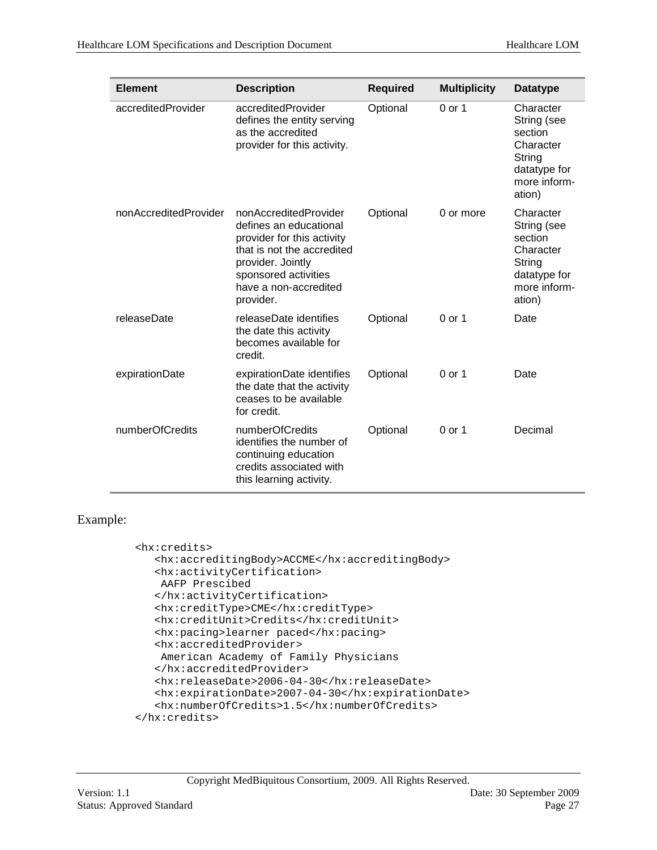| <b>Element</b>        | <b>Description</b>                                                                                                                                                                             | <b>Required</b> | <b>Multiplicity</b> | <b>Datatype</b>                                                                                      |
|-----------------------|------------------------------------------------------------------------------------------------------------------------------------------------------------------------------------------------|-----------------|---------------------|------------------------------------------------------------------------------------------------------|
| accreditedProvider    | accreditedProvider<br>defines the entity serving<br>as the accredited<br>provider for this activity.                                                                                           | Optional        | $0$ or 1            | Character<br>String (see<br>section<br>Character<br>String<br>datatype for<br>more inform-<br>ation) |
| nonAccreditedProvider | nonAccreditedProvider<br>defines an educational<br>provider for this activity<br>that is not the accredited<br>provider. Jointly<br>sponsored activities<br>have a non-accredited<br>provider. | Optional        | 0 or more           | Character<br>String (see<br>section<br>Character<br>String<br>datatype for<br>more inform-<br>ation) |
| releaseDate           | releaseDate identifies<br>the date this activity<br>becomes available for<br>credit.                                                                                                           | Optional        | 0 or 1              | Date                                                                                                 |
| expirationDate        | expirationDate identifies<br>the date that the activity<br>ceases to be available<br>for credit.                                                                                               | Optional        | 0 or 1              | Date                                                                                                 |
| numberOfCredits       | numberOfCredits<br>identifies the number of<br>continuing education<br>credits associated with<br>this learning activity.                                                                      | Optional        | 0 or 1              | Decimal                                                                                              |

Example:

```
<hx:credits>
  <hx:accreditingBody>ACCME</hx:accreditingBody>
  <hx:activityCertification>
   AAFP Prescibed
  </hx:activityCertification>
  <hx:creditType>CME</hx:creditType>
  <hx:creditUnit>Credits</hx:creditUnit>
  <hx:pacing>learner paced</hx:pacing>
  <hx:accreditedProvider>
   American Academy of Family Physicians
   </hx:accreditedProvider>
  <hx:releaseDate>2006-04-30</hx:releaseDate>
  <hx:expirationDate>2007-04-30</hx:expirationDate>
   <hx:numberOfCredits>1.5</hx:numberOfCredits>
</hx:credits>
```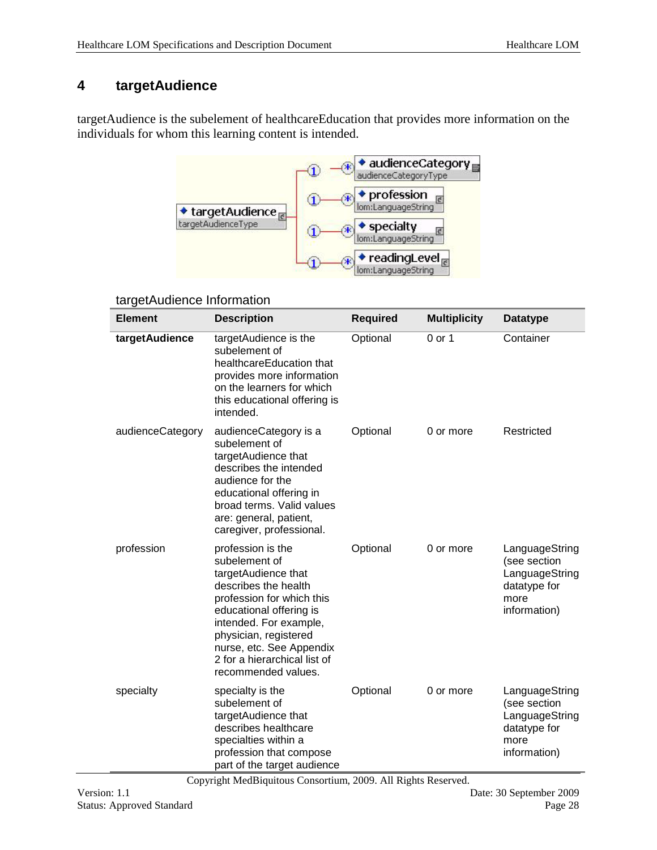### <span id="page-27-0"></span>**4 targetAudience**

targetAudience is the subelement of healthcareEducation that provides more information on the individuals for whom this learning content is intended.



targetAudience Information

| <b>Element</b>   | <b>Description</b>                                                                                                                                                                                                                                                              | <b>Required</b> | <b>Multiplicity</b> | <b>Datatype</b>                                                                          |
|------------------|---------------------------------------------------------------------------------------------------------------------------------------------------------------------------------------------------------------------------------------------------------------------------------|-----------------|---------------------|------------------------------------------------------------------------------------------|
| targetAudience   | targetAudience is the<br>subelement of<br>healthcareEducation that<br>provides more information<br>on the learners for which<br>this educational offering is<br>intended.                                                                                                       | Optional        | 0 or 1              | Container                                                                                |
| audienceCategory | audienceCategory is a<br>subelement of<br>targetAudience that<br>describes the intended<br>audience for the<br>educational offering in<br>broad terms. Valid values<br>are: general, patient,<br>caregiver, professional.                                                       | Optional        | 0 or more           | Restricted                                                                               |
| profession       | profession is the<br>subelement of<br>targetAudience that<br>describes the health<br>profession for which this<br>educational offering is<br>intended. For example,<br>physician, registered<br>nurse, etc. See Appendix<br>2 for a hierarchical list of<br>recommended values. | Optional        | 0 or more           | LanguageString<br>(see section<br>LanguageString<br>datatype for<br>more<br>information) |
| specialty        | specialty is the<br>subelement of<br>targetAudience that<br>describes healthcare<br>specialties within a<br>profession that compose<br>part of the target audience                                                                                                              | Optional        | 0 or more           | LanguageString<br>(see section<br>LanguageString<br>datatype for<br>more<br>information) |

Copyright MedBiquitous Consortium, 2009. All Rights Reserved.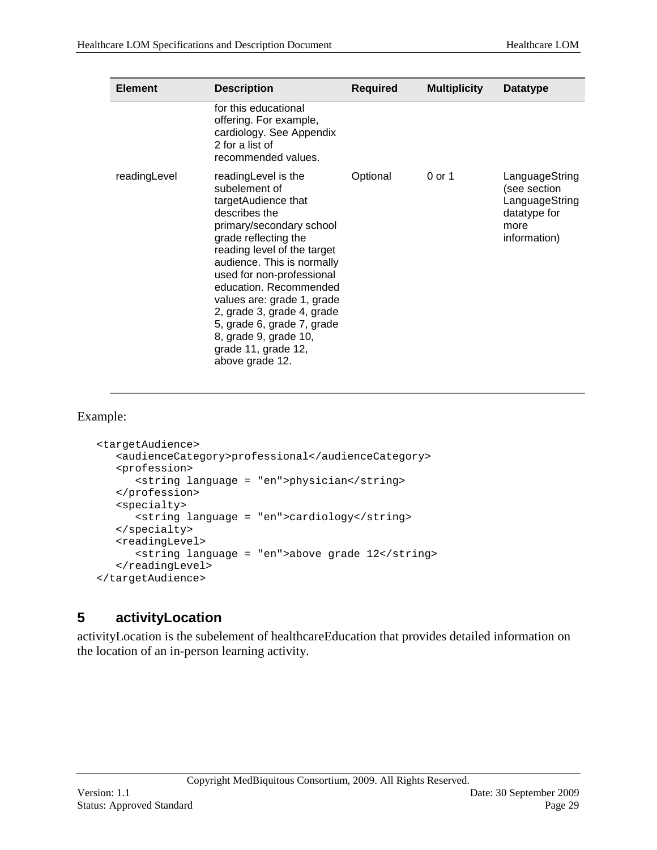| <b>Element</b> | <b>Description</b>                                                                                                                                                                                                                                                                                                                                                                                                | <b>Required</b> | <b>Multiplicity</b> | <b>Datatype</b>                                                                          |
|----------------|-------------------------------------------------------------------------------------------------------------------------------------------------------------------------------------------------------------------------------------------------------------------------------------------------------------------------------------------------------------------------------------------------------------------|-----------------|---------------------|------------------------------------------------------------------------------------------|
|                | for this educational<br>offering. For example,<br>cardiology. See Appendix<br>2 for a list of<br>recommended values.                                                                                                                                                                                                                                                                                              |                 |                     |                                                                                          |
| readingLevel   | readingLevel is the<br>subelement of<br>targetAudience that<br>describes the<br>primary/secondary school<br>grade reflecting the<br>reading level of the target<br>audience. This is normally<br>used for non-professional<br>education. Recommended<br>values are: grade 1, grade<br>2, grade 3, grade 4, grade<br>5, grade 6, grade 7, grade<br>8, grade 9, grade 10,<br>grade 11, grade 12,<br>above grade 12. | Optional        | 0 or 1              | LanguageString<br>(see section<br>LanguageString<br>datatype for<br>more<br>information) |

Example:

```
<targetAudience>
  <audienceCategory>professional</audienceCategory>
  <profession>
      <string language = "en">physician</string>
  </profession>
  <specialty>
     <string language = "en">cardiology</string>
  </specialty>
  <readingLevel>
      <string language = "en">above grade 12</string>
  </readingLevel>
</targetAudience>
```
### <span id="page-28-0"></span>**5 activityLocation**

activityLocation is the subelement of healthcareEducation that provides detailed information on the location of an in-person learning activity.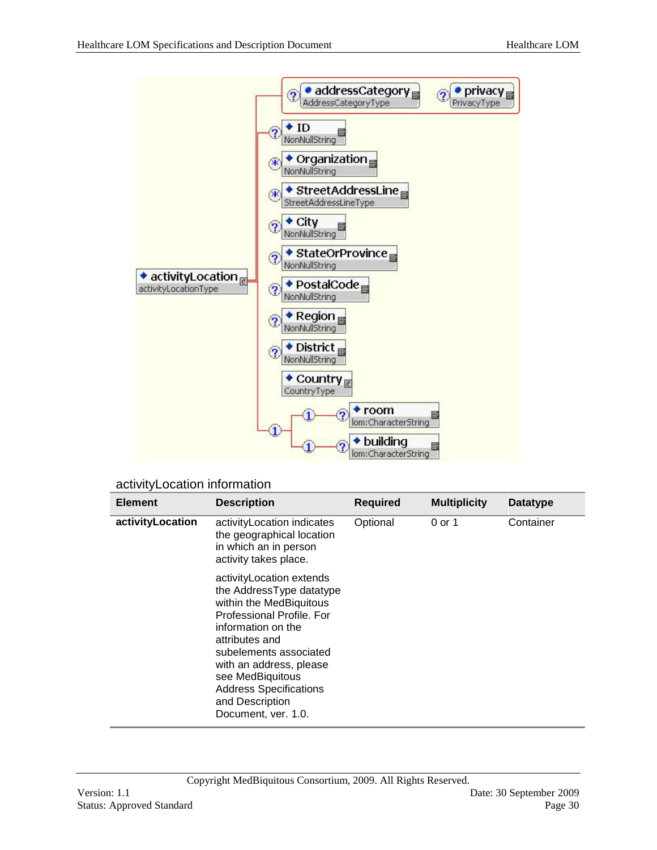

#### activityLocation information

| <b>Element</b>   | <b>Description</b>                                                                                                                                                                                                                                                                                       | <b>Required</b> | <b>Multiplicity</b> | Datatype  |
|------------------|----------------------------------------------------------------------------------------------------------------------------------------------------------------------------------------------------------------------------------------------------------------------------------------------------------|-----------------|---------------------|-----------|
| activityLocation | activity Location indicates<br>the geographical location<br>in which an in person<br>activity takes place.                                                                                                                                                                                               | Optional        | 0 or 1              | Container |
|                  | activityLocation extends<br>the AddressType datatype<br>within the MedBiquitous<br>Professional Profile, For<br>information on the<br>attributes and<br>subelements associated<br>with an address, please<br>see MedBiquitous<br><b>Address Specifications</b><br>and Description<br>Document, ver. 1.0. |                 |                     |           |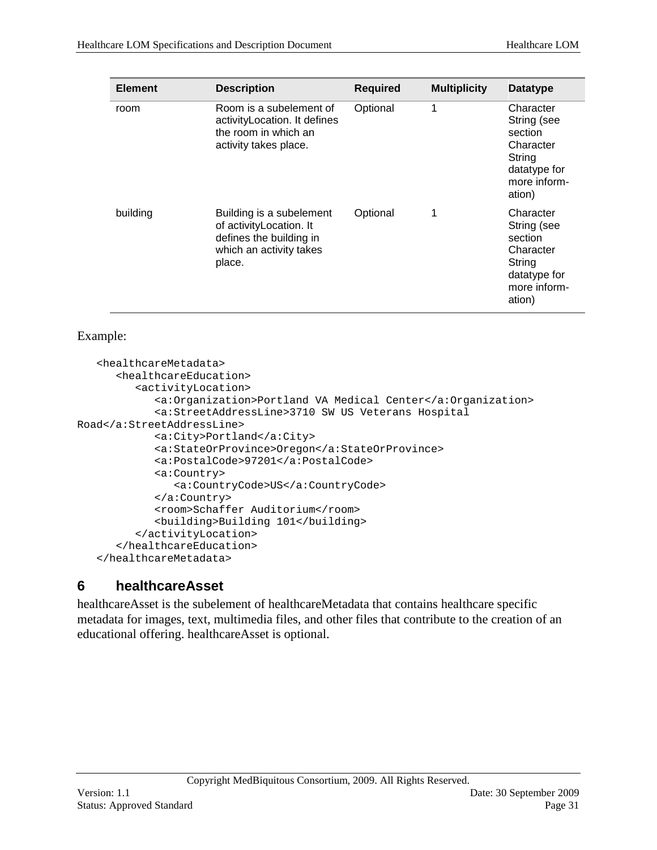| <b>Element</b> | <b>Description</b>                                                                                                  | <b>Required</b> | <b>Multiplicity</b> | <b>Datatype</b>                                                                                      |
|----------------|---------------------------------------------------------------------------------------------------------------------|-----------------|---------------------|------------------------------------------------------------------------------------------------------|
| room           | Room is a subelement of<br>activityLocation. It defines<br>the room in which an<br>activity takes place.            | Optional        | 1                   | Character<br>String (see<br>section<br>Character<br>String<br>datatype for<br>more inform-<br>ation) |
| building       | Building is a subelement<br>of activityLocation. It<br>defines the building in<br>which an activity takes<br>place. | Optional        | 1                   | Character<br>String (see<br>section<br>Character<br>String<br>datatype for<br>more inform-<br>ation) |

#### Example:

```
<healthcareMetadata>
      <healthcareEducation>
         <activityLocation>
            <a:Organization>Portland VA Medical Center</a:Organization>
            <a:StreetAddressLine>3710 SW US Veterans Hospital 
Road</a:StreetAddressLine>
            <a:City>Portland</a:City>
            <a:StateOrProvince>Oregon</a:StateOrProvince>
            <a:PostalCode>97201</a:PostalCode>
            <a:Country>
               <a:CountryCode>US</a:CountryCode>
            </a:Country>
            <room>Schaffer Auditorium</room>
            <building>Building 101</building>
         </activityLocation>
      </healthcareEducation>
   </healthcareMetadata>
```
### <span id="page-30-0"></span>**6 healthcareAsset**

healthcareAsset is the subelement of healthcareMetadata that contains healthcare specific metadata for images, text, multimedia files, and other files that contribute to the creation of an educational offering. healthcareAsset is optional.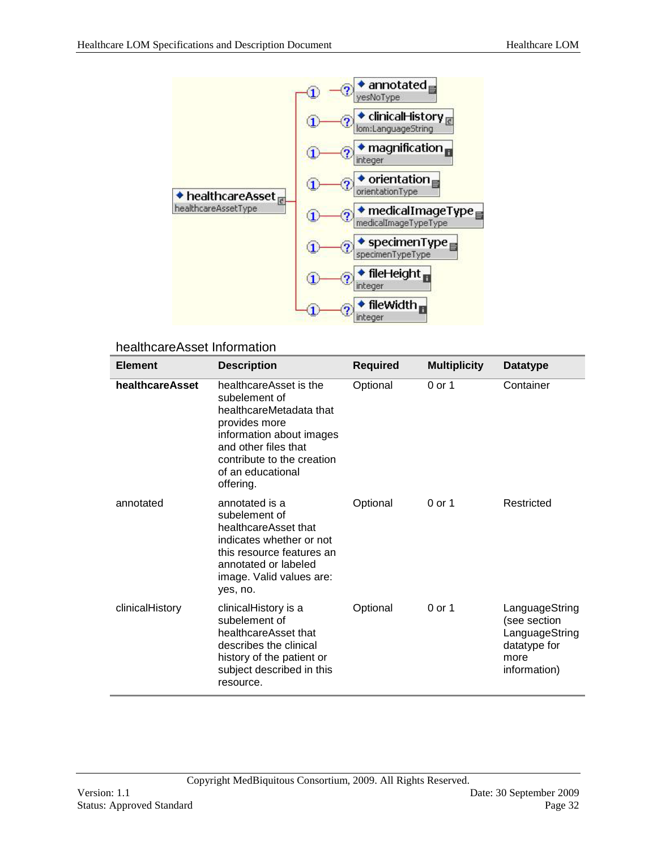

#### healthcareAsset Information

| <b>Element</b>  | <b>Description</b>                                                                                                                                                                                      | <b>Required</b> | <b>Multiplicity</b> | <b>Datatype</b>                                                                          |
|-----------------|---------------------------------------------------------------------------------------------------------------------------------------------------------------------------------------------------------|-----------------|---------------------|------------------------------------------------------------------------------------------|
| healthcareAsset | healthcareAsset is the<br>subelement of<br>healthcareMetadata that<br>provides more<br>information about images<br>and other files that<br>contribute to the creation<br>of an educational<br>offering. | Optional        | 0 or 1              | Container                                                                                |
| annotated       | annotated is a<br>subelement of<br>healthcareAsset that<br>indicates whether or not<br>this resource features an<br>annotated or labeled<br>image. Valid values are:<br>yes, no.                        | Optional        | 0 or 1              | Restricted                                                                               |
| clinicalHistory | clinicalHistory is a<br>subelement of<br>healthcareAsset that<br>describes the clinical<br>history of the patient or<br>subject described in this<br>resource.                                          | Optional        | 0 or 1              | LanguageString<br>(see section<br>LanguageString<br>datatype for<br>more<br>information) |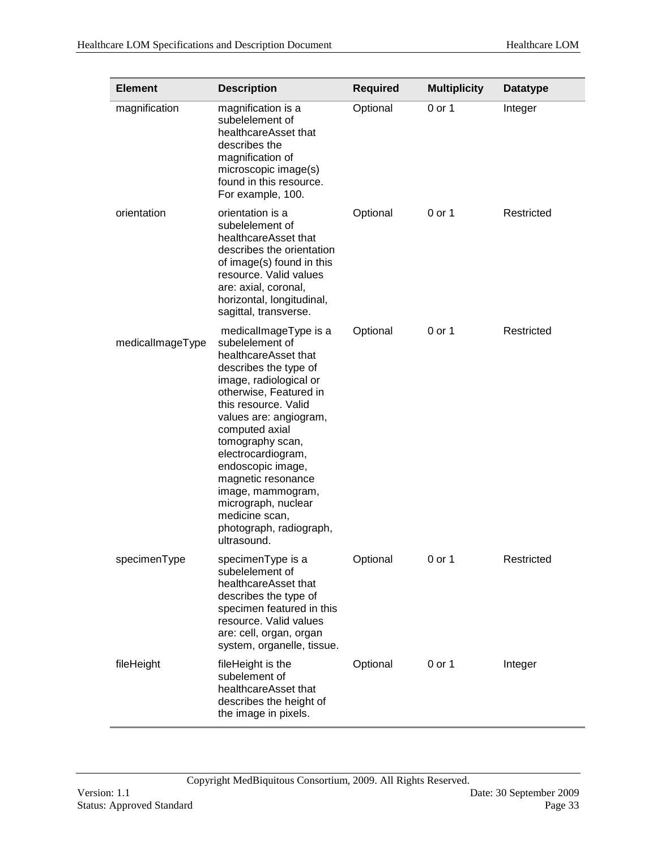| <b>Element</b>   | <b>Description</b>                                                                                                                                                                                                                                                                                                                                                                                             | <b>Required</b> | <b>Multiplicity</b> | <b>Datatype</b> |
|------------------|----------------------------------------------------------------------------------------------------------------------------------------------------------------------------------------------------------------------------------------------------------------------------------------------------------------------------------------------------------------------------------------------------------------|-----------------|---------------------|-----------------|
| magnification    | magnification is a<br>subelelement of<br>healthcareAsset that<br>describes the<br>magnification of<br>microscopic image(s)<br>found in this resource.<br>For example, 100.                                                                                                                                                                                                                                     | Optional        | 0 or 1              | Integer         |
| orientation      | orientation is a<br>subelelement of<br>healthcareAsset that<br>describes the orientation<br>of image(s) found in this<br>resource. Valid values<br>are: axial, coronal,<br>horizontal, longitudinal,<br>sagittal, transverse.                                                                                                                                                                                  | Optional        | 0 or 1              | Restricted      |
| medicalImageType | medicalImageType is a<br>subelelement of<br>healthcareAsset that<br>describes the type of<br>image, radiological or<br>otherwise, Featured in<br>this resource. Valid<br>values are: angiogram,<br>computed axial<br>tomography scan,<br>electrocardiogram,<br>endoscopic image,<br>magnetic resonance<br>image, mammogram,<br>micrograph, nuclear<br>medicine scan,<br>photograph, radiograph,<br>ultrasound. | Optional        | 0 or 1              | Restricted      |
| specimenType     | specimenType is a<br>subelelement of<br>healthcareAsset that<br>describes the type of<br>specimen featured in this<br>resource. Valid values<br>are: cell, organ, organ<br>system, organelle, tissue.                                                                                                                                                                                                          | Optional        | 0 or 1              | Restricted      |
| fileHeight       | fileHeight is the<br>subelement of<br>healthcareAsset that<br>describes the height of<br>the image in pixels.                                                                                                                                                                                                                                                                                                  | Optional        | 0 or 1              | Integer         |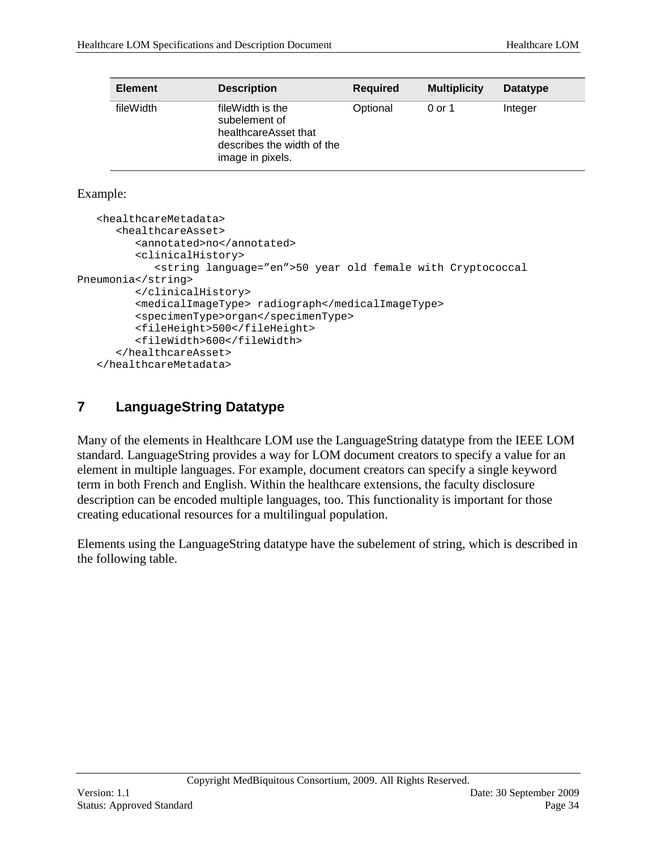| <b>Element</b> | <b>Description</b>                                                                                          | <b>Required</b> | <b>Multiplicity</b> | Datatype |
|----------------|-------------------------------------------------------------------------------------------------------------|-----------------|---------------------|----------|
| fileWidth      | fileWidth is the<br>subelement of<br>healthcareAsset that<br>describes the width of the<br>image in pixels. | Optional        | 0 or 1              | Integer  |

#### Example:

```
<healthcareMetadata>
      <healthcareAsset>
         <annotated>no</annotated>
         <clinicalHistory>
            <string language="en">50 year old female with Cryptococcal 
Pneumonia</string>
         </clinicalHistory>
         <medicalImageType> radiograph</medicalImageType>
         <specimenType>organ</specimenType>
         <fileHeight>500</fileHeight>
         <fileWidth>600</fileWidth>
      </healthcareAsset>
   </healthcareMetadata>
```
### <span id="page-33-0"></span>**7 LanguageString Datatype**

Many of the elements in Healthcare LOM use the LanguageString datatype from the IEEE LOM standard. LanguageString provides a way for LOM document creators to specify a value for an element in multiple languages. For example, document creators can specify a single keyword term in both French and English. Within the healthcare extensions, the faculty disclosure description can be encoded multiple languages, too. This functionality is important for those creating educational resources for a multilingual population.

Elements using the LanguageString datatype have the subelement of string, which is described in the following table.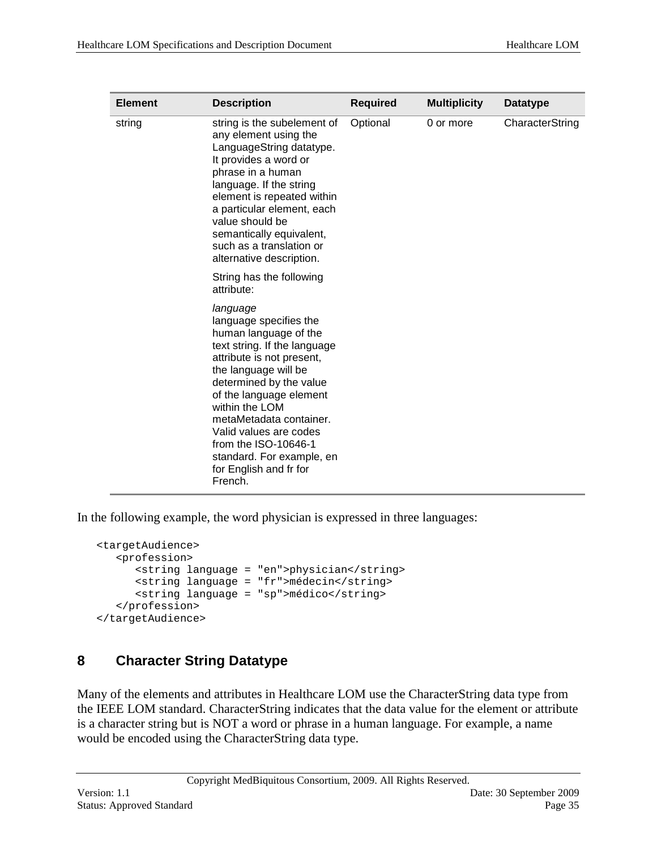| <b>Element</b> | <b>Description</b>                                                                                                                                                                                                                                                                                                                                                      | <b>Required</b> | <b>Multiplicity</b> | <b>Datatype</b> |
|----------------|-------------------------------------------------------------------------------------------------------------------------------------------------------------------------------------------------------------------------------------------------------------------------------------------------------------------------------------------------------------------------|-----------------|---------------------|-----------------|
| string         | string is the subelement of<br>any element using the<br>LanguageString datatype.<br>It provides a word or<br>phrase in a human<br>language. If the string<br>element is repeated within<br>a particular element, each<br>value should be<br>semantically equivalent,<br>such as a translation or<br>alternative description.                                            | Optional        | 0 or more           | CharacterString |
|                | String has the following<br>attribute:                                                                                                                                                                                                                                                                                                                                  |                 |                     |                 |
|                | language<br>language specifies the<br>human language of the<br>text string. If the language<br>attribute is not present,<br>the language will be<br>determined by the value<br>of the language element<br>within the LOM<br>metaMetadata container.<br>Valid values are codes<br>from the ISO-10646-1<br>standard. For example, en<br>for English and fr for<br>French. |                 |                     |                 |

In the following example, the word physician is expressed in three languages:

```
<targetAudience>
   <profession>
      <string language = "en">physician</string>
      <string language = "fr">médecin</string>
      <string language = "sp">médico</string>
   </profession>
</targetAudience>
```
### <span id="page-34-0"></span>**8 Character String Datatype**

Many of the elements and attributes in Healthcare LOM use the CharacterString data type from the IEEE LOM standard. CharacterString indicates that the data value for the element or attribute is a character string but is NOT a word or phrase in a human language. For example, a name would be encoded using the CharacterString data type.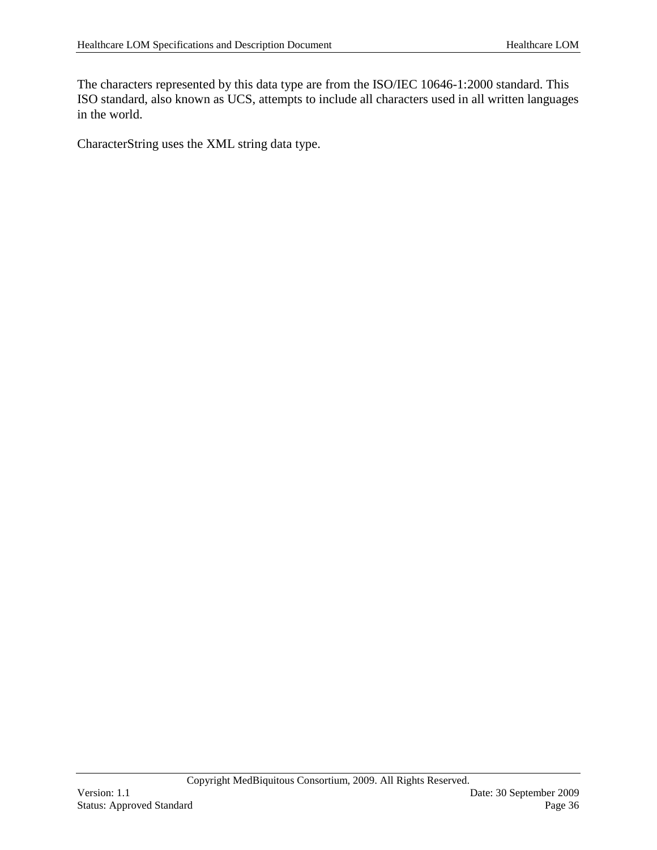The characters represented by this data type are from the ISO/IEC 10646-1:2000 standard. This ISO standard, also known as UCS, attempts to include all characters used in all written languages in the world.

CharacterString uses the XML string data type.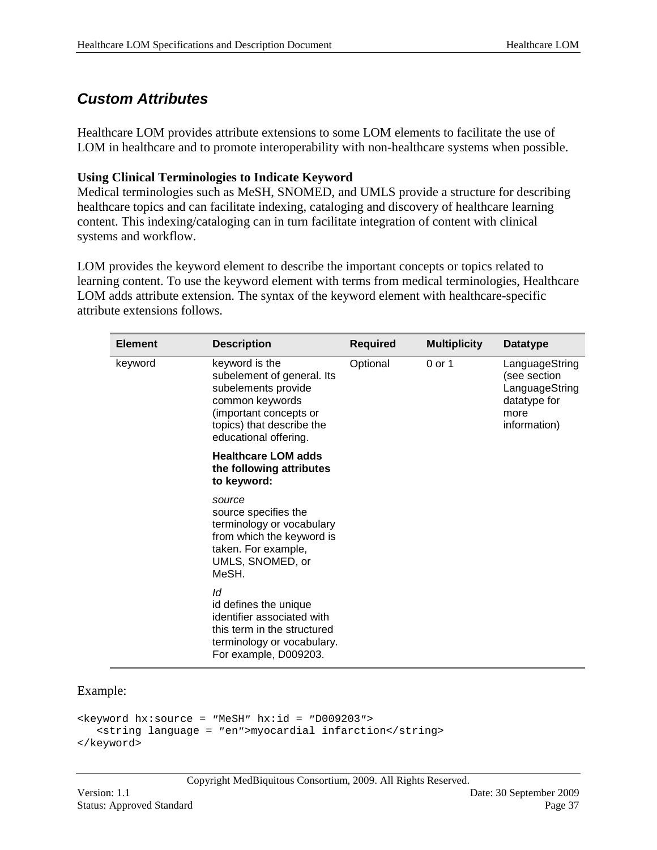### <span id="page-36-0"></span>*Custom Attributes*

Healthcare LOM provides attribute extensions to some LOM elements to facilitate the use of LOM in healthcare and to promote interoperability with non-healthcare systems when possible.

### **Using Clinical Terminologies to Indicate Keyword**

Medical terminologies such as MeSH, SNOMED, and UMLS provide a structure for describing healthcare topics and can facilitate indexing, cataloging and discovery of healthcare learning content. This indexing/cataloging can in turn facilitate integration of content with clinical systems and workflow.

LOM provides the keyword element to describe the important concepts or topics related to learning content. To use the keyword element with terms from medical terminologies, Healthcare LOM adds attribute extension. The syntax of the keyword element with healthcare-specific attribute extensions follows.

| <b>Element</b> | <b>Description</b>                                                                                                                                                     | <b>Required</b> | <b>Multiplicity</b> | <b>Datatype</b>                                                                          |
|----------------|------------------------------------------------------------------------------------------------------------------------------------------------------------------------|-----------------|---------------------|------------------------------------------------------------------------------------------|
| keyword        | keyword is the<br>subelement of general. Its<br>subelements provide<br>common keywords<br>(important concepts or<br>topics) that describe the<br>educational offering. | Optional        | $0$ or 1            | LanguageString<br>(see section<br>LanguageString<br>datatype for<br>more<br>information) |
|                | <b>Healthcare LOM adds</b><br>the following attributes<br>to keyword:                                                                                                  |                 |                     |                                                                                          |
|                | source<br>source specifies the<br>terminology or vocabulary<br>from which the keyword is<br>taken. For example,<br>UMLS, SNOMED, or<br>MeSH.                           |                 |                     |                                                                                          |
|                | ld<br>id defines the unique<br>identifier associated with<br>this term in the structured<br>terminology or vocabulary.<br>For example, D009203.                        |                 |                     |                                                                                          |

Example:

```
<keyword hx:source = ″MeSH″ hx:id = ″D009203″>
   <string language = ″en″>myocardial infarction</string>
</keyword>
```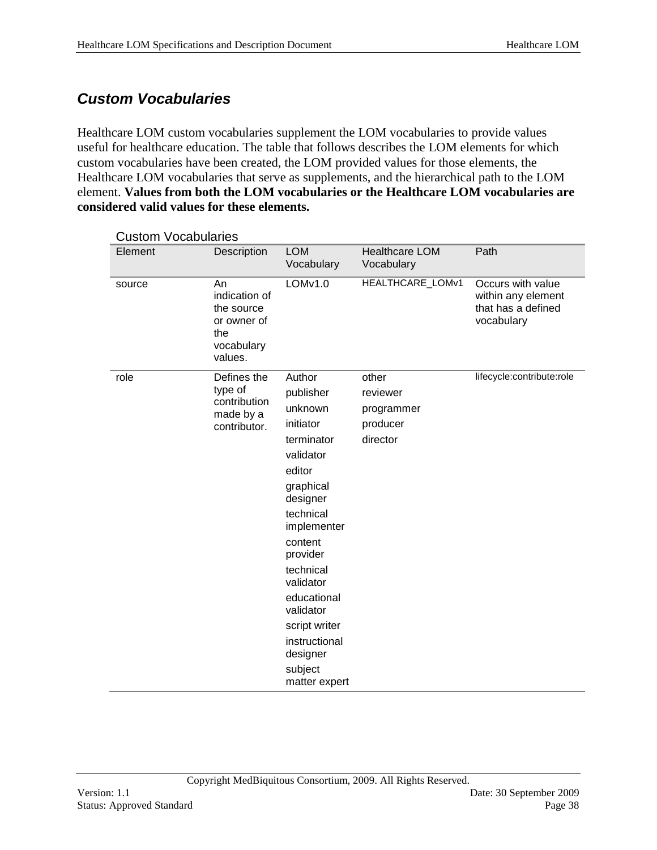## <span id="page-37-0"></span>*Custom Vocabularies*

Healthcare LOM custom vocabularies supplement the LOM vocabularies to provide values useful for healthcare education. The table that follows describes the LOM elements for which custom vocabularies have been created, the LOM provided values for those elements, the Healthcare LOM vocabularies that serve as supplements, and the hierarchical path to the LOM element. **Values from both the LOM vocabularies or the Healthcare LOM vocabularies are considered valid values for these elements.**

| Element | Description                                                                      |                                                                                                                                                                                                                                                                                              |                                                         |                                                                             |
|---------|----------------------------------------------------------------------------------|----------------------------------------------------------------------------------------------------------------------------------------------------------------------------------------------------------------------------------------------------------------------------------------------|---------------------------------------------------------|-----------------------------------------------------------------------------|
|         |                                                                                  | <b>LOM</b><br>Vocabulary                                                                                                                                                                                                                                                                     | <b>Healthcare LOM</b><br>Vocabulary                     | Path                                                                        |
| source  | An<br>indication of<br>the source<br>or owner of<br>the<br>vocabulary<br>values. | LOM <sub>v1.0</sub>                                                                                                                                                                                                                                                                          | HEALTHCARE_LOMv1                                        | Occurs with value<br>within any element<br>that has a defined<br>vocabulary |
| role    | Defines the<br>type of<br>contribution<br>made by a<br>contributor.              | Author<br>publisher<br>unknown<br>initiator<br>terminator<br>validator<br>editor<br>graphical<br>designer<br>technical<br>implementer<br>content<br>provider<br>technical<br>validator<br>educational<br>validator<br>script writer<br>instructional<br>designer<br>subject<br>matter expert | other<br>reviewer<br>programmer<br>producer<br>director | lifecycle:contribute:role                                                   |

 $C$ ustom Vocabularie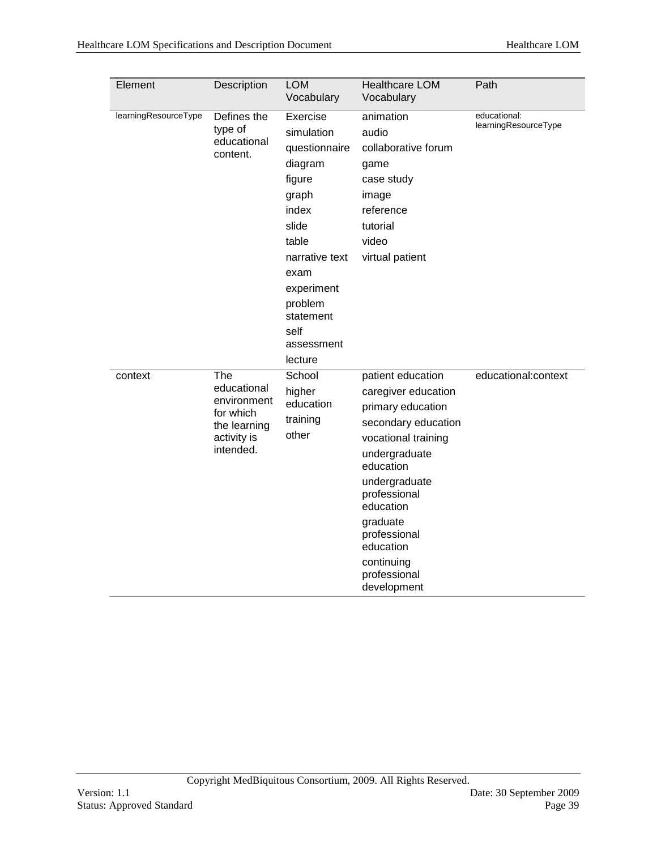| Element              | Description                                                                                | <b>LOM</b><br>Vocabulary                                                                                                                                                                          | <b>Healthcare LOM</b><br>Vocabulary                                                                                                                                                                                                                                           | Path                                 |
|----------------------|--------------------------------------------------------------------------------------------|---------------------------------------------------------------------------------------------------------------------------------------------------------------------------------------------------|-------------------------------------------------------------------------------------------------------------------------------------------------------------------------------------------------------------------------------------------------------------------------------|--------------------------------------|
| learningResourceType | Defines the<br>type of<br>educational<br>content.                                          | Exercise<br>simulation<br>questionnaire<br>diagram<br>figure<br>graph<br>index<br>slide<br>table<br>narrative text<br>exam<br>experiment<br>problem<br>statement<br>self<br>assessment<br>lecture | animation<br>audio<br>collaborative forum<br>game<br>case study<br>image<br>reference<br>tutorial<br>video<br>virtual patient                                                                                                                                                 | educational:<br>learningResourceType |
| context              | The<br>educational<br>environment<br>for which<br>the learning<br>activity is<br>intended. | School<br>higher<br>education<br>training<br>other                                                                                                                                                | patient education<br>caregiver education<br>primary education<br>secondary education<br>vocational training<br>undergraduate<br>education<br>undergraduate<br>professional<br>education<br>graduate<br>professional<br>education<br>continuing<br>professional<br>development | educational:context                  |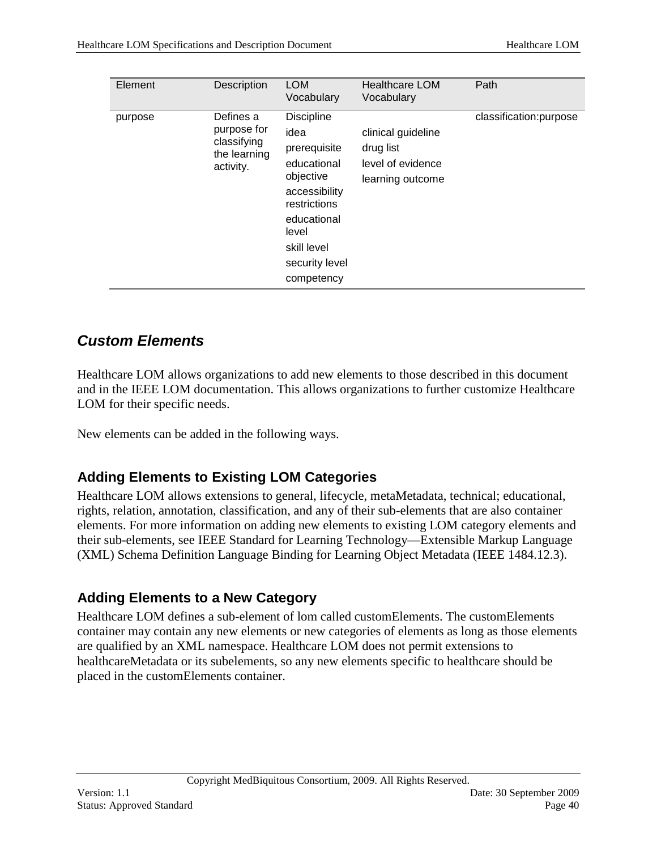| Element | Description                                                          | <b>LOM</b><br>Vocabulary                                                                                                                                                      | <b>Healthcare LOM</b><br>Vocabulary                                      | Path                   |
|---------|----------------------------------------------------------------------|-------------------------------------------------------------------------------------------------------------------------------------------------------------------------------|--------------------------------------------------------------------------|------------------------|
| purpose | Defines a<br>purpose for<br>classifying<br>the learning<br>activity. | <b>Discipline</b><br>idea<br>prerequisite<br>educational<br>objective<br>accessibility<br>restrictions<br>educational<br>level<br>skill level<br>security level<br>competency | clinical guideline<br>drug list<br>level of evidence<br>learning outcome | classification:purpose |

## <span id="page-39-0"></span>*Custom Elements*

Healthcare LOM allows organizations to add new elements to those described in this document and in the IEEE LOM documentation. This allows organizations to further customize Healthcare LOM for their specific needs.

New elements can be added in the following ways.

### <span id="page-39-1"></span>**Adding Elements to Existing LOM Categories**

Healthcare LOM allows extensions to general, lifecycle, metaMetadata, technical; educational, rights, relation, annotation, classification, and any of their sub-elements that are also container elements. For more information on adding new elements to existing LOM category elements and their sub-elements, see IEEE Standard for Learning Technology—Extensible Markup Language (XML) Schema Definition Language Binding for Learning Object Metadata (IEEE 1484.12.3).

### <span id="page-39-2"></span>**Adding Elements to a New Category**

Healthcare LOM defines a sub-element of lom called customElements. The customElements container may contain any new elements or new categories of elements as long as those elements are qualified by an XML namespace. Healthcare LOM does not permit extensions to healthcareMetadata or its subelements, so any new elements specific to healthcare should be placed in the customElements container.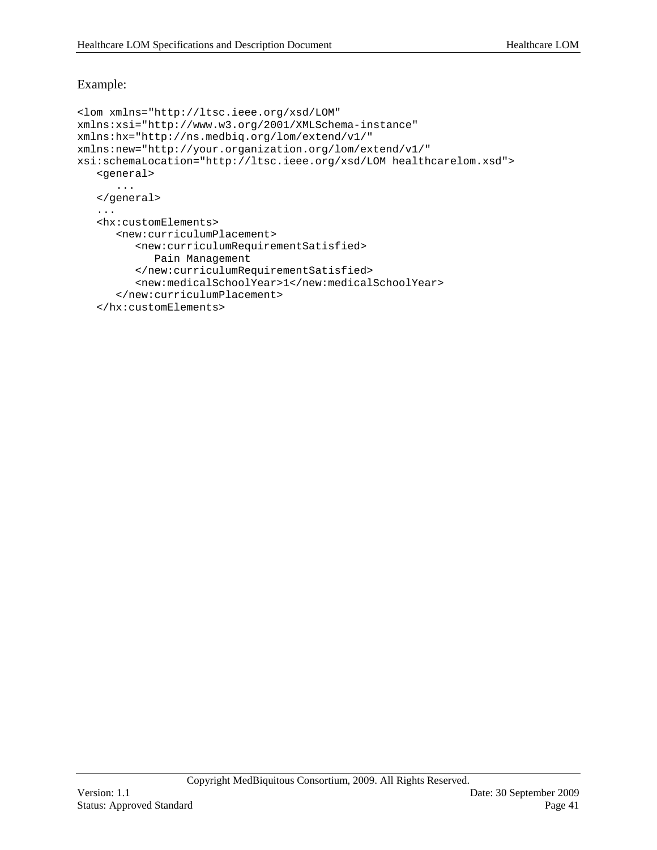#### Example:

```
<lom xmlns="http://ltsc.ieee.org/xsd/LOM" 
xmlns:xsi="http://www.w3.org/2001/XMLSchema-instance" 
xmlns:hx="http://ns.medbiq.org/lom/extend/v1/" 
xmlns:new="http://your.organization.org/lom/extend/v1/" 
xsi:schemaLocation="http://ltsc.ieee.org/xsd/LOM healthcarelom.xsd">
   <general>
      ...
   </general>
   ...
   <hx:customElements>
      <new:curriculumPlacement>
         <new:curriculumRequirementSatisfied>
            Pain Management
         </new:curriculumRequirementSatisfied>
         <new:medicalSchoolYear>1</new:medicalSchoolYear>
      </new:curriculumPlacement>
   </hx:customElements>
```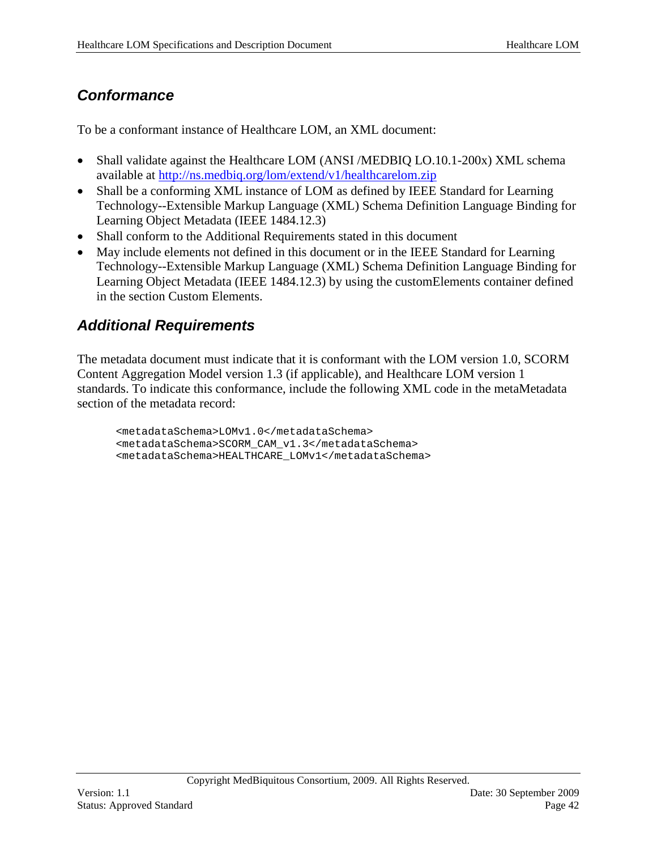## <span id="page-41-0"></span>*Conformance*

To be a conformant instance of Healthcare LOM, an XML document:

- Shall validate against the Healthcare LOM (ANSI /MEDBIO LO.10.1-200x) XML schema available at<http://ns.medbiq.org/lom/extend/v1/healthcarelom.zip>
- Shall be a conforming XML instance of LOM as defined by IEEE Standard for Learning Technology--Extensible Markup Language (XML) Schema Definition Language Binding for Learning Object Metadata (IEEE 1484.12.3)
- Shall conform to the Additional Requirements stated in this document
- May include elements not defined in this document or in the IEEE Standard for Learning Technology--Extensible Markup Language (XML) Schema Definition Language Binding for Learning Object Metadata (IEEE 1484.12.3) by using the customElements container defined in the section Custom Elements.

## <span id="page-41-1"></span>*Additional Requirements*

The metadata document must indicate that it is conformant with the LOM version 1.0, SCORM Content Aggregation Model version 1.3 (if applicable), and Healthcare LOM version 1 standards. To indicate this conformance, include the following XML code in the metaMetadata section of the metadata record:

```
<metadataSchema>LOMv1.0</metadataSchema>
<metadataSchema>SCORM_CAM_v1.3</metadataSchema>
<metadataSchema>HEALTHCARE_LOMv1</metadataSchema>
```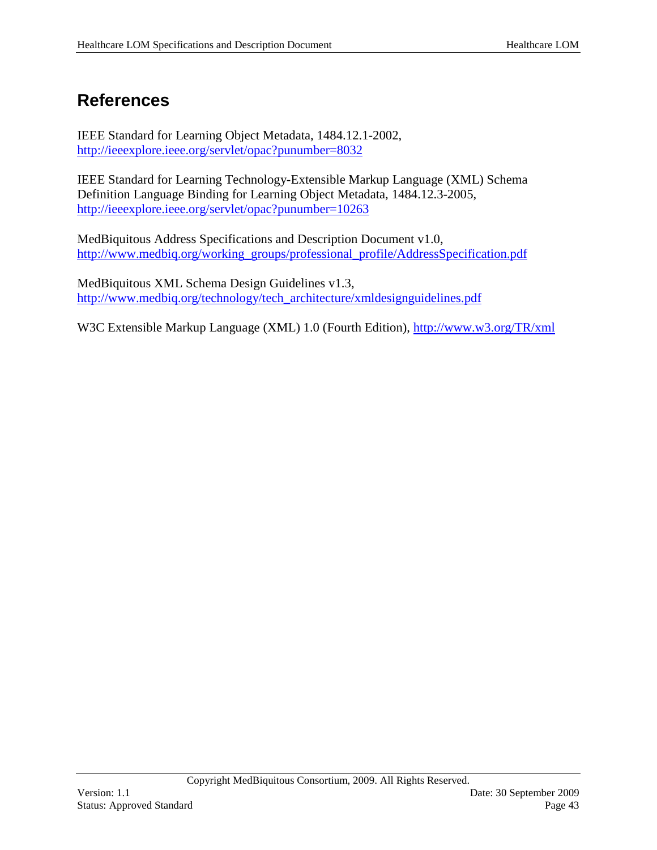# <span id="page-42-0"></span>**References**

IEEE Standard for Learning Object Metadata, 1484.12.1-2002, <http://ieeexplore.ieee.org/servlet/opac?punumber=8032>

IEEE Standard for Learning Technology-Extensible Markup Language (XML) Schema Definition Language Binding for Learning Object Metadata, 1484.12.3-2005, <http://ieeexplore.ieee.org/servlet/opac?punumber=10263>

MedBiquitous Address Specifications and Description Document v1.0, [http://www.medbiq.org/working\\_groups/professional\\_profile/AddressSpecification.pdf](http://www.medbiq.org/working_groups/professional_profile/AddressSpecification.pdf)

MedBiquitous XML Schema Design Guidelines v1.3, [http://www.medbiq.org/technology/tech\\_architecture/xmldesignguidelines.pdf](http://www.medbiq.org/technology/tech_architecture/xmldesignguidelines.pdf)

W3C Extensible Markup Language (XML) 1.0 (Fourth Edition),<http://www.w3.org/TR/xml>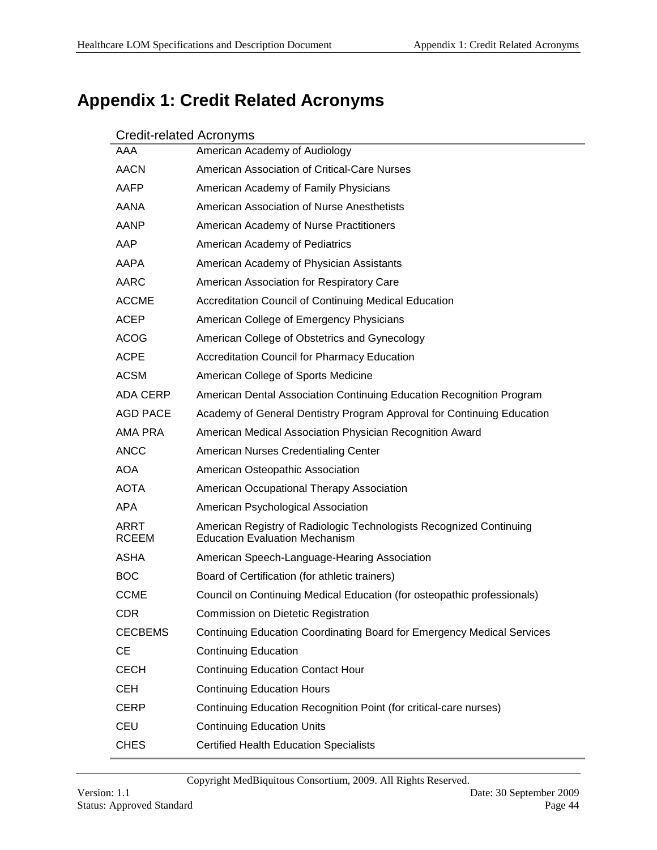# <span id="page-43-0"></span>**Appendix 1: Credit Related Acronyms**

| American Academy of Audiology<br><b>AACN</b><br>American Association of Critical-Care Nurses<br>AAFP<br>American Academy of Family Physicians<br><b>AANA</b><br>American Association of Nurse Anesthetists<br>AANP<br>American Academy of Nurse Practitioners<br>AAP<br>American Academy of Pediatrics<br>AAPA<br>American Academy of Physician Assistants<br>AARC<br>American Association for Respiratory Care<br><b>ACCME</b><br>Accreditation Council of Continuing Medical Education<br><b>ACEP</b><br>American College of Emergency Physicians<br><b>ACOG</b><br>American College of Obstetrics and Gynecology<br><b>ACPE</b><br><b>Accreditation Council for Pharmacy Education</b><br><b>ACSM</b><br>American College of Sports Medicine<br><b>ADA CERP</b><br>American Dental Association Continuing Education Recognition Program<br><b>AGD PACE</b><br>Academy of General Dentistry Program Approval for Continuing Education<br>AMA PRA<br>American Medical Association Physician Recognition Award<br><b>ANCC</b><br>American Nurses Credentialing Center<br><b>AOA</b><br>American Osteopathic Association<br><b>AOTA</b><br>American Occupational Therapy Association<br><b>APA</b><br>American Psychological Association<br><b>ARRT</b><br>American Registry of Radiologic Technologists Recognized Continuing<br><b>Education Evaluation Mechanism</b><br><b>RCEEM</b><br><b>ASHA</b><br>American Speech-Language-Hearing Association<br><b>BOC</b><br>Board of Certification (for athletic trainers)<br><b>CCME</b><br>Council on Continuing Medical Education (for osteopathic professionals)<br>Commission on Dietetic Registration<br><b>CDR</b><br>Continuing Education Coordinating Board for Emergency Medical Services<br><b>CECBEMS</b><br><b>CE</b><br><b>Continuing Education</b><br><b>CECH</b><br><b>Continuing Education Contact Hour</b><br><b>CEH</b><br><b>Continuing Education Hours</b><br><b>CERP</b><br>Continuing Education Recognition Point (for critical-care nurses)<br><b>CEU</b><br><b>Continuing Education Units</b><br><b>CHES</b><br><b>Certified Health Education Specialists</b> | <b>Credit-related Acronyms</b> |  |
|-----------------------------------------------------------------------------------------------------------------------------------------------------------------------------------------------------------------------------------------------------------------------------------------------------------------------------------------------------------------------------------------------------------------------------------------------------------------------------------------------------------------------------------------------------------------------------------------------------------------------------------------------------------------------------------------------------------------------------------------------------------------------------------------------------------------------------------------------------------------------------------------------------------------------------------------------------------------------------------------------------------------------------------------------------------------------------------------------------------------------------------------------------------------------------------------------------------------------------------------------------------------------------------------------------------------------------------------------------------------------------------------------------------------------------------------------------------------------------------------------------------------------------------------------------------------------------------------------------------------------------------------------------------------------------------------------------------------------------------------------------------------------------------------------------------------------------------------------------------------------------------------------------------------------------------------------------------------------------------------------------------------------------------------------------------------------------------------------------------------------------------|--------------------------------|--|
|                                                                                                                                                                                                                                                                                                                                                                                                                                                                                                                                                                                                                                                                                                                                                                                                                                                                                                                                                                                                                                                                                                                                                                                                                                                                                                                                                                                                                                                                                                                                                                                                                                                                                                                                                                                                                                                                                                                                                                                                                                                                                                                                   | AAA                            |  |
|                                                                                                                                                                                                                                                                                                                                                                                                                                                                                                                                                                                                                                                                                                                                                                                                                                                                                                                                                                                                                                                                                                                                                                                                                                                                                                                                                                                                                                                                                                                                                                                                                                                                                                                                                                                                                                                                                                                                                                                                                                                                                                                                   |                                |  |
|                                                                                                                                                                                                                                                                                                                                                                                                                                                                                                                                                                                                                                                                                                                                                                                                                                                                                                                                                                                                                                                                                                                                                                                                                                                                                                                                                                                                                                                                                                                                                                                                                                                                                                                                                                                                                                                                                                                                                                                                                                                                                                                                   |                                |  |
|                                                                                                                                                                                                                                                                                                                                                                                                                                                                                                                                                                                                                                                                                                                                                                                                                                                                                                                                                                                                                                                                                                                                                                                                                                                                                                                                                                                                                                                                                                                                                                                                                                                                                                                                                                                                                                                                                                                                                                                                                                                                                                                                   |                                |  |
|                                                                                                                                                                                                                                                                                                                                                                                                                                                                                                                                                                                                                                                                                                                                                                                                                                                                                                                                                                                                                                                                                                                                                                                                                                                                                                                                                                                                                                                                                                                                                                                                                                                                                                                                                                                                                                                                                                                                                                                                                                                                                                                                   |                                |  |
|                                                                                                                                                                                                                                                                                                                                                                                                                                                                                                                                                                                                                                                                                                                                                                                                                                                                                                                                                                                                                                                                                                                                                                                                                                                                                                                                                                                                                                                                                                                                                                                                                                                                                                                                                                                                                                                                                                                                                                                                                                                                                                                                   |                                |  |
|                                                                                                                                                                                                                                                                                                                                                                                                                                                                                                                                                                                                                                                                                                                                                                                                                                                                                                                                                                                                                                                                                                                                                                                                                                                                                                                                                                                                                                                                                                                                                                                                                                                                                                                                                                                                                                                                                                                                                                                                                                                                                                                                   |                                |  |
|                                                                                                                                                                                                                                                                                                                                                                                                                                                                                                                                                                                                                                                                                                                                                                                                                                                                                                                                                                                                                                                                                                                                                                                                                                                                                                                                                                                                                                                                                                                                                                                                                                                                                                                                                                                                                                                                                                                                                                                                                                                                                                                                   |                                |  |
|                                                                                                                                                                                                                                                                                                                                                                                                                                                                                                                                                                                                                                                                                                                                                                                                                                                                                                                                                                                                                                                                                                                                                                                                                                                                                                                                                                                                                                                                                                                                                                                                                                                                                                                                                                                                                                                                                                                                                                                                                                                                                                                                   |                                |  |
|                                                                                                                                                                                                                                                                                                                                                                                                                                                                                                                                                                                                                                                                                                                                                                                                                                                                                                                                                                                                                                                                                                                                                                                                                                                                                                                                                                                                                                                                                                                                                                                                                                                                                                                                                                                                                                                                                                                                                                                                                                                                                                                                   |                                |  |
|                                                                                                                                                                                                                                                                                                                                                                                                                                                                                                                                                                                                                                                                                                                                                                                                                                                                                                                                                                                                                                                                                                                                                                                                                                                                                                                                                                                                                                                                                                                                                                                                                                                                                                                                                                                                                                                                                                                                                                                                                                                                                                                                   |                                |  |
|                                                                                                                                                                                                                                                                                                                                                                                                                                                                                                                                                                                                                                                                                                                                                                                                                                                                                                                                                                                                                                                                                                                                                                                                                                                                                                                                                                                                                                                                                                                                                                                                                                                                                                                                                                                                                                                                                                                                                                                                                                                                                                                                   |                                |  |
|                                                                                                                                                                                                                                                                                                                                                                                                                                                                                                                                                                                                                                                                                                                                                                                                                                                                                                                                                                                                                                                                                                                                                                                                                                                                                                                                                                                                                                                                                                                                                                                                                                                                                                                                                                                                                                                                                                                                                                                                                                                                                                                                   |                                |  |
|                                                                                                                                                                                                                                                                                                                                                                                                                                                                                                                                                                                                                                                                                                                                                                                                                                                                                                                                                                                                                                                                                                                                                                                                                                                                                                                                                                                                                                                                                                                                                                                                                                                                                                                                                                                                                                                                                                                                                                                                                                                                                                                                   |                                |  |
|                                                                                                                                                                                                                                                                                                                                                                                                                                                                                                                                                                                                                                                                                                                                                                                                                                                                                                                                                                                                                                                                                                                                                                                                                                                                                                                                                                                                                                                                                                                                                                                                                                                                                                                                                                                                                                                                                                                                                                                                                                                                                                                                   |                                |  |
|                                                                                                                                                                                                                                                                                                                                                                                                                                                                                                                                                                                                                                                                                                                                                                                                                                                                                                                                                                                                                                                                                                                                                                                                                                                                                                                                                                                                                                                                                                                                                                                                                                                                                                                                                                                                                                                                                                                                                                                                                                                                                                                                   |                                |  |
|                                                                                                                                                                                                                                                                                                                                                                                                                                                                                                                                                                                                                                                                                                                                                                                                                                                                                                                                                                                                                                                                                                                                                                                                                                                                                                                                                                                                                                                                                                                                                                                                                                                                                                                                                                                                                                                                                                                                                                                                                                                                                                                                   |                                |  |
|                                                                                                                                                                                                                                                                                                                                                                                                                                                                                                                                                                                                                                                                                                                                                                                                                                                                                                                                                                                                                                                                                                                                                                                                                                                                                                                                                                                                                                                                                                                                                                                                                                                                                                                                                                                                                                                                                                                                                                                                                                                                                                                                   |                                |  |
|                                                                                                                                                                                                                                                                                                                                                                                                                                                                                                                                                                                                                                                                                                                                                                                                                                                                                                                                                                                                                                                                                                                                                                                                                                                                                                                                                                                                                                                                                                                                                                                                                                                                                                                                                                                                                                                                                                                                                                                                                                                                                                                                   |                                |  |
|                                                                                                                                                                                                                                                                                                                                                                                                                                                                                                                                                                                                                                                                                                                                                                                                                                                                                                                                                                                                                                                                                                                                                                                                                                                                                                                                                                                                                                                                                                                                                                                                                                                                                                                                                                                                                                                                                                                                                                                                                                                                                                                                   |                                |  |
|                                                                                                                                                                                                                                                                                                                                                                                                                                                                                                                                                                                                                                                                                                                                                                                                                                                                                                                                                                                                                                                                                                                                                                                                                                                                                                                                                                                                                                                                                                                                                                                                                                                                                                                                                                                                                                                                                                                                                                                                                                                                                                                                   |                                |  |
|                                                                                                                                                                                                                                                                                                                                                                                                                                                                                                                                                                                                                                                                                                                                                                                                                                                                                                                                                                                                                                                                                                                                                                                                                                                                                                                                                                                                                                                                                                                                                                                                                                                                                                                                                                                                                                                                                                                                                                                                                                                                                                                                   |                                |  |
|                                                                                                                                                                                                                                                                                                                                                                                                                                                                                                                                                                                                                                                                                                                                                                                                                                                                                                                                                                                                                                                                                                                                                                                                                                                                                                                                                                                                                                                                                                                                                                                                                                                                                                                                                                                                                                                                                                                                                                                                                                                                                                                                   |                                |  |
|                                                                                                                                                                                                                                                                                                                                                                                                                                                                                                                                                                                                                                                                                                                                                                                                                                                                                                                                                                                                                                                                                                                                                                                                                                                                                                                                                                                                                                                                                                                                                                                                                                                                                                                                                                                                                                                                                                                                                                                                                                                                                                                                   |                                |  |
|                                                                                                                                                                                                                                                                                                                                                                                                                                                                                                                                                                                                                                                                                                                                                                                                                                                                                                                                                                                                                                                                                                                                                                                                                                                                                                                                                                                                                                                                                                                                                                                                                                                                                                                                                                                                                                                                                                                                                                                                                                                                                                                                   |                                |  |
|                                                                                                                                                                                                                                                                                                                                                                                                                                                                                                                                                                                                                                                                                                                                                                                                                                                                                                                                                                                                                                                                                                                                                                                                                                                                                                                                                                                                                                                                                                                                                                                                                                                                                                                                                                                                                                                                                                                                                                                                                                                                                                                                   |                                |  |
|                                                                                                                                                                                                                                                                                                                                                                                                                                                                                                                                                                                                                                                                                                                                                                                                                                                                                                                                                                                                                                                                                                                                                                                                                                                                                                                                                                                                                                                                                                                                                                                                                                                                                                                                                                                                                                                                                                                                                                                                                                                                                                                                   |                                |  |
|                                                                                                                                                                                                                                                                                                                                                                                                                                                                                                                                                                                                                                                                                                                                                                                                                                                                                                                                                                                                                                                                                                                                                                                                                                                                                                                                                                                                                                                                                                                                                                                                                                                                                                                                                                                                                                                                                                                                                                                                                                                                                                                                   |                                |  |
|                                                                                                                                                                                                                                                                                                                                                                                                                                                                                                                                                                                                                                                                                                                                                                                                                                                                                                                                                                                                                                                                                                                                                                                                                                                                                                                                                                                                                                                                                                                                                                                                                                                                                                                                                                                                                                                                                                                                                                                                                                                                                                                                   |                                |  |
|                                                                                                                                                                                                                                                                                                                                                                                                                                                                                                                                                                                                                                                                                                                                                                                                                                                                                                                                                                                                                                                                                                                                                                                                                                                                                                                                                                                                                                                                                                                                                                                                                                                                                                                                                                                                                                                                                                                                                                                                                                                                                                                                   |                                |  |
|                                                                                                                                                                                                                                                                                                                                                                                                                                                                                                                                                                                                                                                                                                                                                                                                                                                                                                                                                                                                                                                                                                                                                                                                                                                                                                                                                                                                                                                                                                                                                                                                                                                                                                                                                                                                                                                                                                                                                                                                                                                                                                                                   |                                |  |
|                                                                                                                                                                                                                                                                                                                                                                                                                                                                                                                                                                                                                                                                                                                                                                                                                                                                                                                                                                                                                                                                                                                                                                                                                                                                                                                                                                                                                                                                                                                                                                                                                                                                                                                                                                                                                                                                                                                                                                                                                                                                                                                                   |                                |  |

Copyright MedBiquitous Consortium, 2009. All Rights Reserved.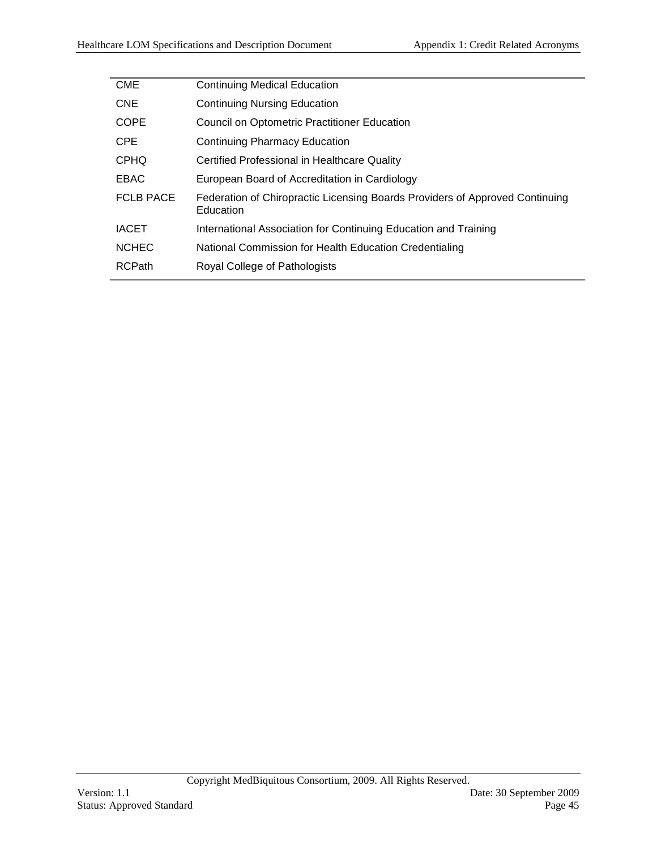| <b>CME</b>       | <b>Continuing Medical Education</b>                                                       |
|------------------|-------------------------------------------------------------------------------------------|
| <b>CNE</b>       | Continuing Nursing Education                                                              |
| COPE             | Council on Optometric Practitioner Education                                              |
| <b>CPE</b>       | Continuing Pharmacy Education                                                             |
| <b>CPHQ</b>      | Certified Professional in Healthcare Quality                                              |
| EBAC             | European Board of Accreditation in Cardiology                                             |
| <b>FCLB PACE</b> | Federation of Chiropractic Licensing Boards Providers of Approved Continuing<br>Education |
| <b>IACET</b>     | International Association for Continuing Education and Training                           |
| <b>NCHEC</b>     | National Commission for Health Education Credentialing                                    |
| <b>RCPath</b>    | Royal College of Pathologists                                                             |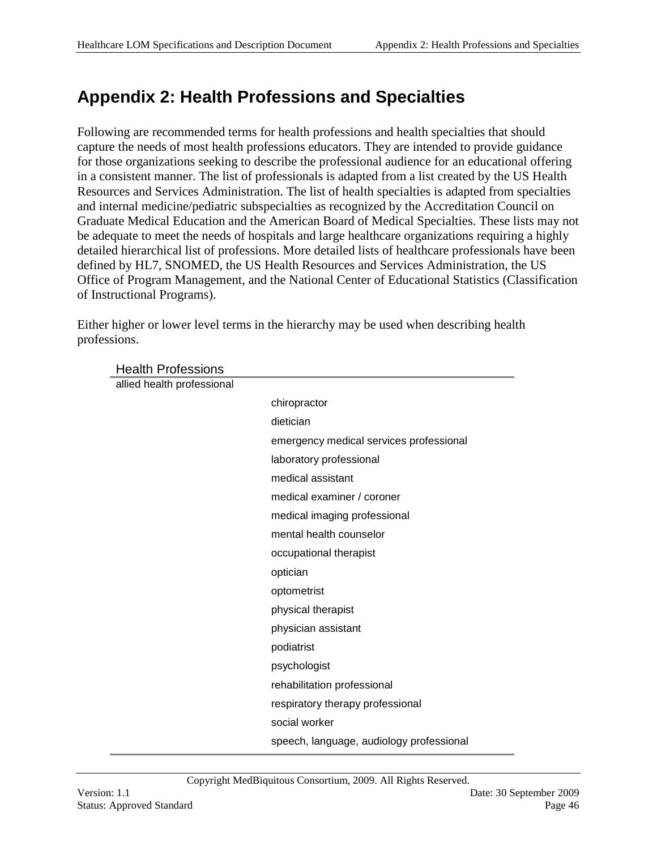## <span id="page-45-0"></span>**Appendix 2: Health Professions and Specialties**

Following are recommended terms for health professions and health specialties that should capture the needs of most health professions educators. They are intended to provide guidance for those organizations seeking to describe the professional audience for an educational offering in a consistent manner. The list of professionals is adapted from a list created by the US Health Resources and Services Administration. The list of health specialties is adapted from specialties and internal medicine/pediatric subspecialties as recognized by the Accreditation Council on Graduate Medical Education and the American Board of Medical Specialties. These lists may not be adequate to meet the needs of hospitals and large healthcare organizations requiring a highly detailed hierarchical list of professions. More detailed lists of healthcare professionals have been defined by HL7, SNOMED, the US Health Resources and Services Administration, the US Office of Program Management, and the National Center of Educational Statistics (Classification of Instructional Programs).

| <b>Health Professions</b>  |                                          |
|----------------------------|------------------------------------------|
| allied health professional |                                          |
|                            | chiropractor                             |
|                            | dietician                                |
|                            | emergency medical services professional  |
|                            | laboratory professional                  |
|                            | medical assistant                        |
|                            | medical examiner / coroner               |
|                            | medical imaging professional             |
|                            | mental health counselor                  |
|                            | occupational therapist                   |
|                            | optician                                 |
|                            | optometrist                              |
|                            | physical therapist                       |
|                            | physician assistant                      |
|                            | podiatrist                               |
|                            | psychologist                             |
|                            | rehabilitation professional              |
|                            | respiratory therapy professional         |
|                            | social worker                            |
|                            | speech, language, audiology professional |

Either higher or lower level terms in the hierarchy may be used when describing health professions.

Copyright MedBiquitous Consortium, 2009. All Rights Reserved.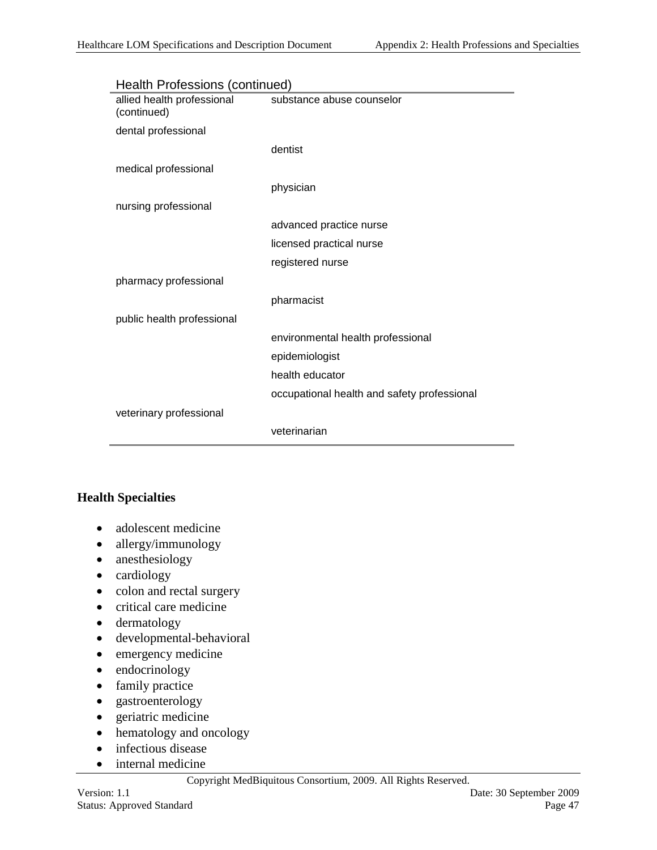| Health Professions (continued)            |                                             |
|-------------------------------------------|---------------------------------------------|
| allied health professional<br>(continued) | substance abuse counselor                   |
| dental professional                       |                                             |
|                                           | dentist                                     |
| medical professional                      |                                             |
|                                           | physician                                   |
| nursing professional                      |                                             |
|                                           | advanced practice nurse                     |
|                                           | licensed practical nurse                    |
|                                           | registered nurse                            |
| pharmacy professional                     |                                             |
|                                           | pharmacist                                  |
| public health professional                |                                             |
|                                           | environmental health professional           |
|                                           | epidemiologist                              |
|                                           | health educator                             |
|                                           | occupational health and safety professional |
| veterinary professional                   |                                             |
|                                           | veterinarian                                |
|                                           |                                             |

#### Health Professions (continued)

### **Health Specialties**

- adolescent medicine
- allergy/immunology
- anesthesiology
- cardiology
- colon and rectal surgery
- critical care medicine
- dermatology
- developmental-behavioral
- emergency medicine
- endocrinology
- family practice
- gastroenterology
- geriatric medicine
- hematology and oncology
- infectious disease
- internal medicine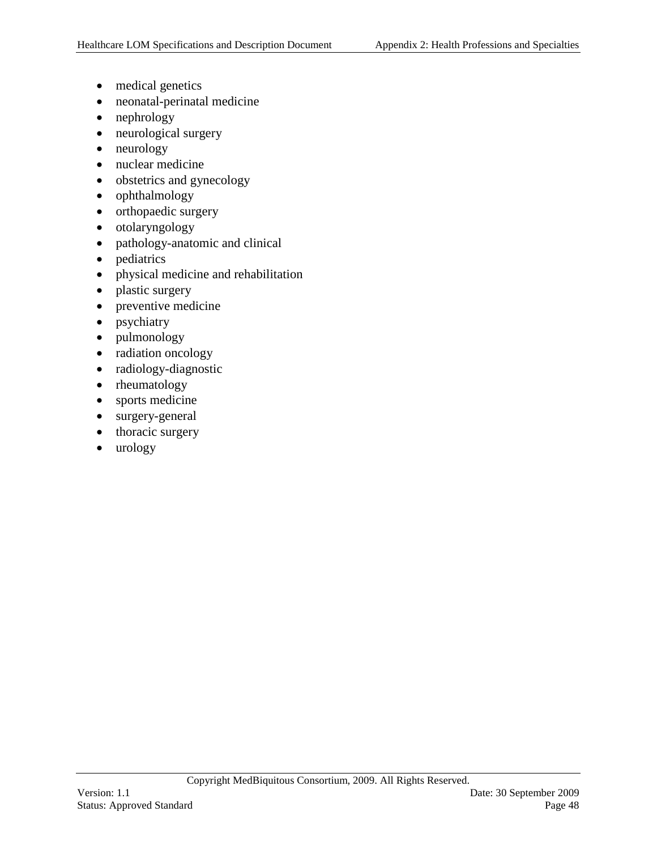- medical genetics
- neonatal-perinatal medicine
- nephrology
- neurological surgery
- neurology
- nuclear medicine
- obstetrics and gynecology
- ophthalmology
- orthopaedic surgery
- otolaryngology
- pathology-anatomic and clinical
- pediatrics
- physical medicine and rehabilitation
- plastic surgery
- preventive medicine
- psychiatry
- pulmonology
- radiation oncology
- radiology-diagnostic
- rheumatology
- sports medicine
- surgery-general
- thoracic surgery
- urology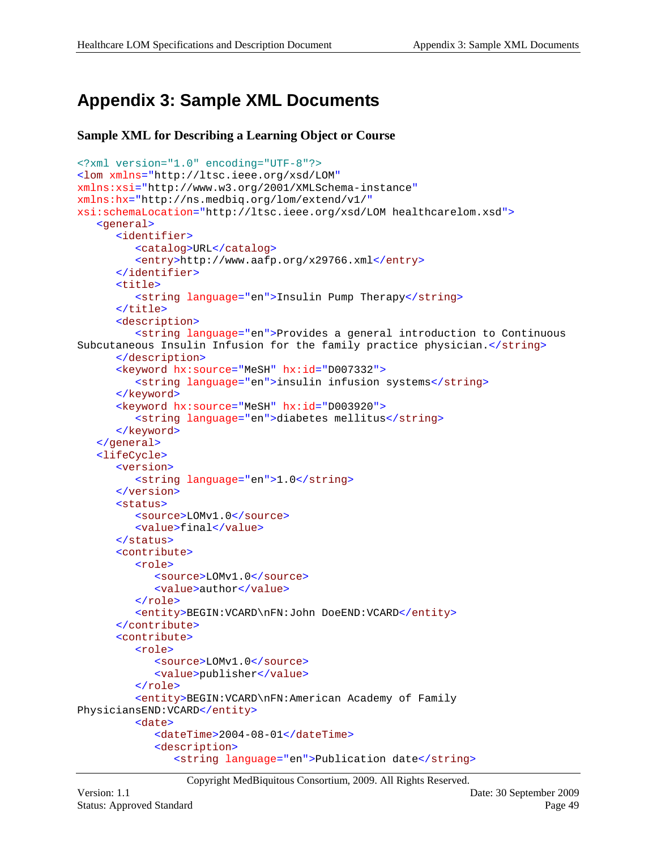# <span id="page-48-0"></span>**Appendix 3: Sample XML Documents**

#### **Sample XML for Describing a Learning Object or Course**

```
<?xml version="1.0" encoding="UTF-8"?>
<lom xmlns="http://ltsc.ieee.org/xsd/LOM"
xmlns:xsi="http://www.w3.org/2001/XMLSchema-instance"
xmlns:hx="http://ns.medbiq.org/lom/extend/v1/"
xsi:schemaLocation="http://ltsc.ieee.org/xsd/LOM healthcarelom.xsd">
   <general>
      <identifier>
         <catalog>URL</catalog>
         <entry>http://www.aafp.org/x29766.xml</entry>
      </identifier>
      <title>
         <string language="en">Insulin Pump Therapy</string>
      \langletitle>
      <description>
         <string language="en">Provides a general introduction to Continuous 
Subcutaneous Insulin Infusion for the family practice physician.</string>
      </description>
      <keyword hx:source="MeSH" hx:id="D007332">
         <string language="en">insulin infusion systems</string>
      </keyword>
      <keyword hx:source="MeSH" hx:id="D003920">
         <string language="en">diabetes mellitus</string>
      </keyword>
   </general>
   <lifeCycle>
      <version>
         <string language="en">1.0</string>
      </version>
      <status>
         <source>LOMv1.0</source>
         <value>final</value>
      </status>
      <contribute>
         <role>
            <source>LOMv1.0</source>
            <value>author</value>
         </role>
         <entity>BEGIN:VCARD\nFN:John DoeEND:VCARD</entity>
      </contribute>
      <contribute>
         <role>
            <source>LOMv1.0</source>
            <value>publisher</value>
         </role>
         <entity>BEGIN:VCARD\nFN:American Academy of Family 
PhysiciansEND:VCARD</entity>
         <date>
            <dateTime>2004-08-01</dateTime>
            <description>
               <string language="en">Publication date</string>
```
Copyright MedBiquitous Consortium, 2009. All Rights Reserved.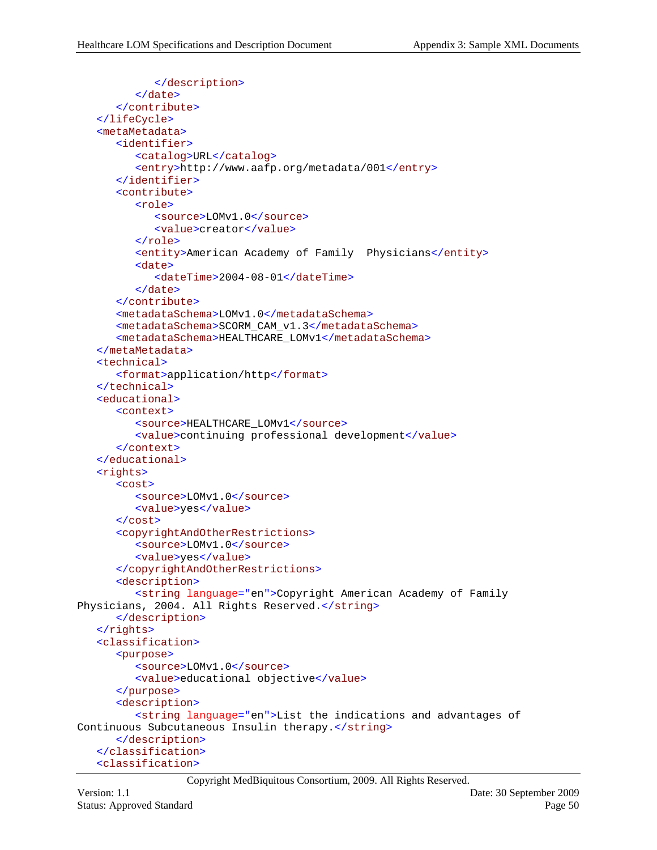```
</description>
         </date>
      </contribute>
   </lifeCycle>
   <metaMetadata>
      <identifier>
         <catalog>URL</catalog>
         <entry>http://www.aafp.org/metadata/001</entry>
      </identifier>
      <contribute>
         <role>
            <source>LOMv1.0</source>
            <value>creator</value>
         </role>
         <entity>American Academy of Family Physicians</entity>
         <date>
            <dateTime>2004-08-01</dateTime>
         </date>
      </contribute>
      <metadataSchema>LOMv1.0</metadataSchema>
      <metadataSchema>SCORM_CAM_v1.3</metadataSchema>
      <metadataSchema>HEALTHCARE_LOMv1</metadataSchema>
   </metaMetadata>
   <technical>
      <format>application/http</format>
   </technical>
   <educational>
      <context>
         <source>HEALTHCARE_LOMv1</source>
         <value>continuing professional development</value>
      </context>
   </educational>
   <rights>
      <cost>
         <source>LOMv1.0</source>
         <value>yes</value>
      </cost>
      <copyrightAndOtherRestrictions>
         <source>LOMv1.0</source>
         <value>yes</value>
      </copyrightAndOtherRestrictions>
      <description>
         <string language="en">Copyright American Academy of Family 
Physicians, 2004. All Rights Reserved.</string>
      </description>
   </rights>
   <classification>
      <purpose>
         <source>LOMv1.0</source>
         <value>educational objective</value>
      </purpose>
      <description>
         <string language="en">List the indications and advantages of 
Continuous Subcutaneous Insulin therapy.</string>
      </description>
   </classification>
   <classification>
```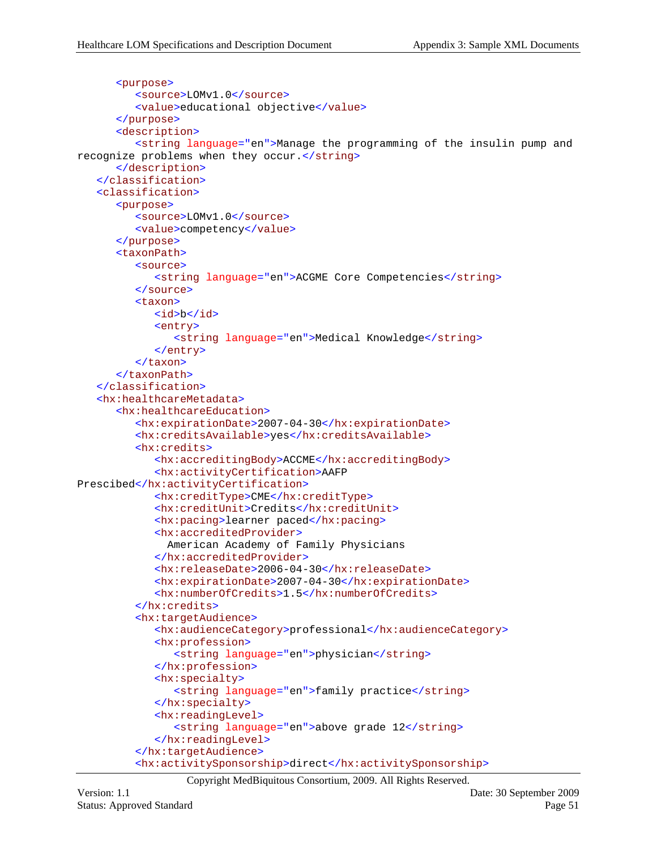```
<purpose>
         <source>LOMv1.0</source>
         <value>educational objective</value>
      </purpose>
      <description>
         <string language="en">Manage the programming of the insulin pump and 
recognize problems when they occur.</string>
      </description>
   </classification>
   <classification>
      <purpose>
         <source>LOMv1.0</source>
         <value>competency</value>
      </purpose>
      <taxonPath>
         <source>
            <string language="en">ACGME Core Competencies</string>
         </source>
         <taxon>
            <id>b</id>
            <entry>
               <string language="en">Medical Knowledge</string>
            </entry>
         </taxon>
      </taxonPath>
   </classification>
   <hx:healthcareMetadata>
      <hx:healthcareEducation>
         <hx:expirationDate>2007-04-30</hx:expirationDate>
         <hx:creditsAvailable>yes</hx:creditsAvailable>
         <hx:credits>
            <hx:accreditingBody>ACCME</hx:accreditingBody>
            <hx:activityCertification>AAFP 
Prescibed</hx:activityCertification>
            <hx:creditType>CME</hx:creditType>
            <hx:creditUnit>Credits</hx:creditUnit>
            <hx:pacing>learner paced</hx:pacing>
            <hx:accreditedProvider>
               American Academy of Family Physicians
            </hx:accreditedProvider>
            <hx:releaseDate>2006-04-30</hx:releaseDate>
            <hx:expirationDate>2007-04-30</hx:expirationDate>
            <hx:numberOfCredits>1.5</hx:numberOfCredits>
         </hx:credits>
         <hx:targetAudience>
            <hx:audienceCategory>professional</hx:audienceCategory>
            <hx:profession>
               <string language="en">physician</string>
            </hx:profession>
            <hx:specialty>
               <string language="en">family practice</string>
            </hx:specialty>
            <hx:readingLevel>
               <string language="en">above grade 12</string>
            </hx:readingLevel>
         </hx:targetAudience>
         <hx:activitySponsorship>direct</hx:activitySponsorship>
```
Copyright MedBiquitous Consortium, 2009. All Rights Reserved.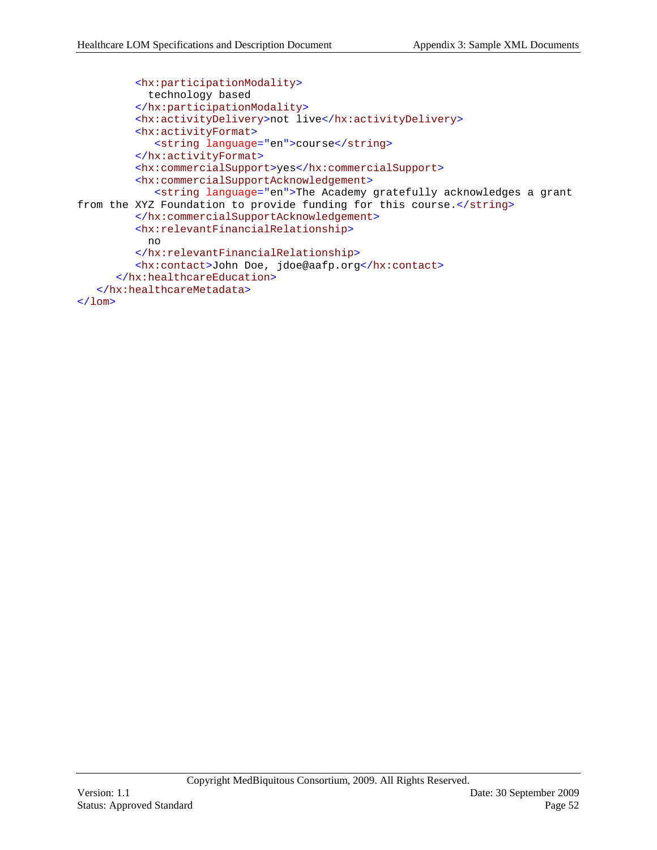```
<hx:participationModality>
            technology based
         </hx:participationModality>
         <hx:activityDelivery>not live</hx:activityDelivery>
         <hx:activityFormat>
            <string language="en">course</string>
         </hx:activityFormat>
         <hx:commercialSupport>yes</hx:commercialSupport>
         <hx:commercialSupportAcknowledgement>
            <string language="en">The Academy gratefully acknowledges a grant 
from the XYZ Foundation to provide funding for this course.</string>
         </hx:commercialSupportAcknowledgement>
         <hx:relevantFinancialRelationship>
            no
         </hx:relevantFinancialRelationship>
         <hx:contact>John Doe, jdoe@aafp.org</hx:contact>
      </hx:healthcareEducation>
   </hx:healthcareMetadata>
\langlelom\rangle
```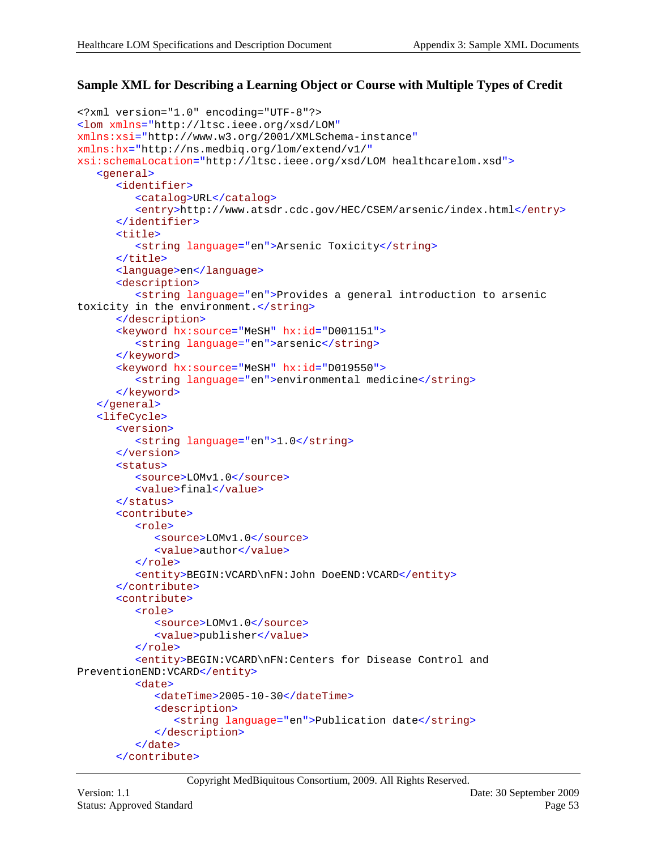### **Sample XML for Describing a Learning Object or Course with Multiple Types of Credit**

```
<?xml version="1.0" encoding="UTF-8"?>
<lom xmlns="http://ltsc.ieee.org/xsd/LOM"
xmlns:xsi="http://www.w3.org/2001/XMLSchema-instance"
xmlns:hx="http://ns.medbiq.org/lom/extend/v1/"
xsi:schemaLocation="http://ltsc.ieee.org/xsd/LOM healthcarelom.xsd">
   <general>
      <identifier>
         <catalog>URL</catalog>
         <entry>http://www.atsdr.cdc.gov/HEC/CSEM/arsenic/index.html</entry>
      </identifier>
      <sub>time</sub></sub>
         <string language="en">Arsenic Toxicity</string>
      \langletitle>
      <language>en</language>
      <description>
         <string language="en">Provides a general introduction to arsenic 
toxicity in the environment.</string>
      </description>
      <keyword hx:source="MeSH" hx:id="D001151">
         <string language="en">arsenic</string>
      </keyword>
      <keyword hx:source="MeSH" hx:id="D019550">
         <string language="en">environmental medicine</string>
      </keyword>
   </general>
   <lifeCycle>
      <version>
         <string language="en">1.0</string>
      </version>
      <status>
         <source>LOMv1.0</source>
         <value>final</value>
      </status>
      <contribute>
         <role>
            <source>LOMv1.0</source>
            <value>author</value>
         </role>
         <entity>BEGIN:VCARD\nFN:John DoeEND:VCARD</entity>
      </contribute>
      <contribute>
         <role>
            <source>LOMv1.0</source>
            <value>publisher</value>
         </role>
         <entity>BEGIN:VCARD\nFN:Centers for Disease Control and
PreventionEND:VCARD</entity>
         <date>
            <dateTime>2005-10-30</dateTime>
            <description>
               <string language="en">Publication date</string>
            </description>
         </date>
      </contribute>
```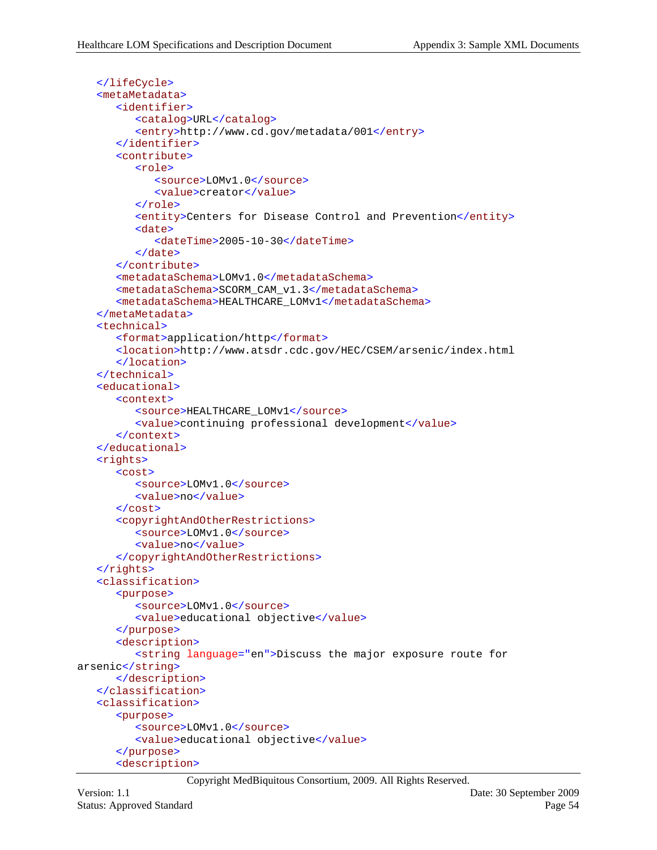```
</lifeCycle>
   <metaMetadata>
      <identifier>
         <catalog>URL</catalog>
         <entry>http://www.cd.gov/metadata/001</entry>
      </identifier>
      <contribute>
         <role>
            <source>LOMv1.0</source>
            <value>creator</value>
         </role>
         <entity>Centers for Disease Control and Prevention</entity>
         <date>
            <dateTime>2005-10-30</dateTime>
         </date>
      </contribute>
      <metadataSchema>LOMv1.0</metadataSchema>
      <metadataSchema>SCORM_CAM_v1.3</metadataSchema>
      <metadataSchema>HEALTHCARE_LOMv1</metadataSchema>
   </metaMetadata>
   <technical>
      <format>application/http</format>
      <location>http://www.atsdr.cdc.gov/HEC/CSEM/arsenic/index.html
      </location>
   </technical>
   <educational>
      <context>
         <source>HEALTHCARE_LOMv1</source>
         <value>continuing professional development</value>
      </context>
   </educational>
   <rights>
      <cost>
         <source>LOMv1.0</source>
         <value>no</value>
      </cost>
      <copyrightAndOtherRestrictions>
         <source>LOMv1.0</source>
         <value>no</value>
      </copyrightAndOtherRestrictions>
   </rights>
   <classification>
      <purpose>
         <source>LOMv1.0</source>
         <value>educational objective</value>
      </purpose>
      <description>
         <string language="en">Discuss the major exposure route for 
arsenic</string>
      </description>
   </classification>
   <classification>
      <purpose>
         <source>LOMv1.0</source>
         <value>educational objective</value>
      </purpose>
      <description>
```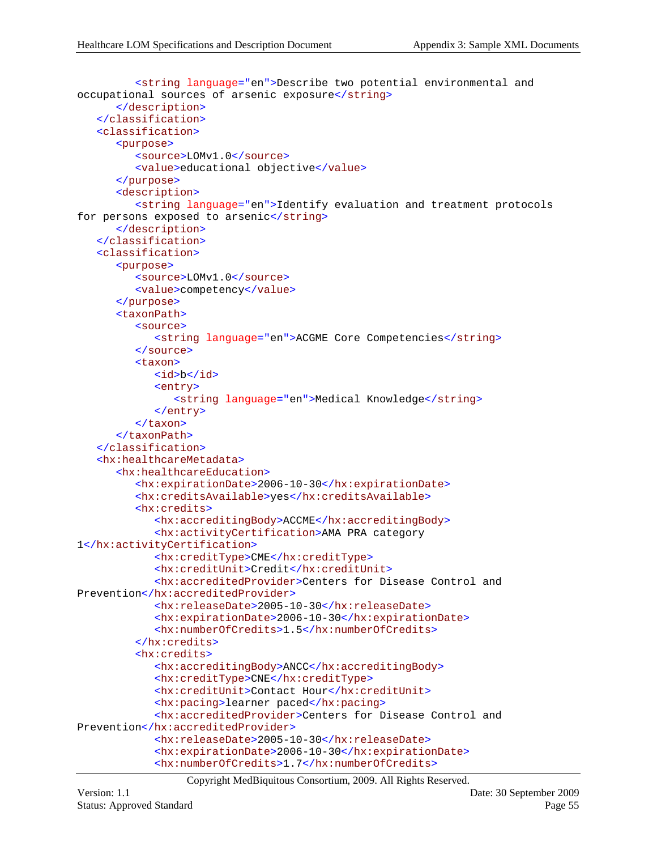```
<string language="en">Describe two potential environmental and 
occupational sources of arsenic exposure</string>
      </description>
   </classification>
   <classification>
      <purpose>
         <source>LOMv1.0</source>
         <value>educational objective</value>
      </purpose>
      <description>
         <string language="en">Identify evaluation and treatment protocols 
for persons exposed to arsenic</string>
      </description>
   </classification>
   <classification>
      <purpose>
         <source>LOMv1.0</source>
         <value>competency</value>
      </purpose>
      <taxonPath>
         <source>
            <string language="en">ACGME Core Competencies</string>
         </source>
         <taxon>
            <id>b</id>
            <entry>
               <string language="en">Medical Knowledge</string>
            </entry>
         \epsilon/taxon>
      </taxonPath>
   </classification>
   <hx:healthcareMetadata>
      <hx:healthcareEducation>
         <hx:expirationDate>2006-10-30</hx:expirationDate>
         <hx:creditsAvailable>yes</hx:creditsAvailable>
         <hx:credits>
            <hx:accreditingBody>ACCME</hx:accreditingBody>
            <hx:activityCertification>AMA PRA category 
1</hx:activityCertification>
            <hx:creditType>CME</hx:creditType>
            <hx:creditUnit>Credit</hx:creditUnit>
            <hx:accreditedProvider>Centers for Disease Control and 
Prevention</hx:accreditedProvider>
            <hx:releaseDate>2005-10-30</hx:releaseDate>
            <hx:expirationDate>2006-10-30</hx:expirationDate>
            <hx:numberOfCredits>1.5</hx:numberOfCredits>
         </hx:credits>
         <hx:credits>
            <hx:accreditingBody>ANCC</hx:accreditingBody>
            <hx:creditType>CNE</hx:creditType>
            <hx:creditUnit>Contact Hour</hx:creditUnit>
            <hx:pacing>learner paced</hx:pacing>
            <hx:accreditedProvider>Centers for Disease Control and 
Prevention</hx:accreditedProvider>
            <hx:releaseDate>2005-10-30</hx:releaseDate>
            <hx:expirationDate>2006-10-30</hx:expirationDate>
            <hx:numberOfCredits>1.7</hx:numberOfCredits>
```
Copyright MedBiquitous Consortium, 2009. All Rights Reserved.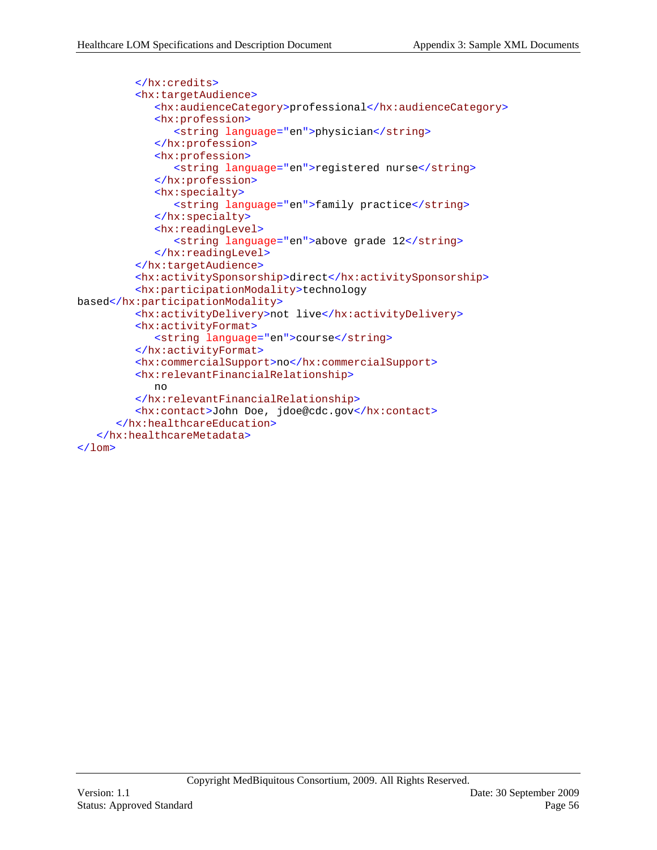```
</hx:credits>
         <hx:targetAudience>
            <hx:audienceCategory>professional</hx:audienceCategory>
            <hx:profession>
               <string language="en">physician</string>
            </hx:profession>
            <hx:profession>
               <string language="en">registered nurse</string>
            </hx:profession>
            <hx:specialty>
               <string language="en">family practice</string>
            </hx:specialty>
            <hx:readingLevel>
               <string language="en">above grade 12</string>
            </hx:readingLevel>
         </hx:targetAudience>
         <hx:activitySponsorship>direct</hx:activitySponsorship>
         <hx:participationModality>technology 
based</hx:participationModality>
         <hx:activityDelivery>not live</hx:activityDelivery>
         <hx:activityFormat>
            <string language="en">course</string>
         </hx:activityFormat>
         <hx:commercialSupport>no</hx:commercialSupport>
         <hx:relevantFinancialRelationship>
            no
         </hx:relevantFinancialRelationship>
         <hx:contact>John Doe, jdoe@cdc.gov</hx:contact>
      </hx:healthcareEducation>
   </hx:healthcareMetadata>
\langlelom\rangle
```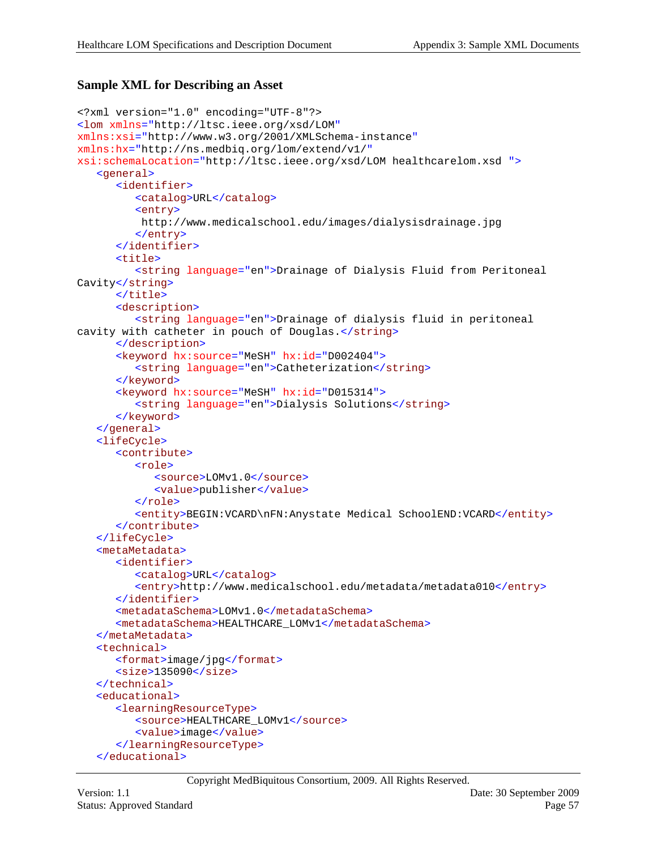#### **Sample XML for Describing an Asset**

```
<?xml version="1.0" encoding="UTF-8"?>
<lom xmlns="http://ltsc.ieee.org/xsd/LOM"
xmlns:xsi="http://www.w3.org/2001/XMLSchema-instance"
xmlns:hx="http://ns.medbiq.org/lom/extend/v1/" 
xsi:schemaLocation="http://ltsc.ieee.org/xsd/LOM healthcarelom.xsd ">
   <general>
      <identifier>
         <catalog>URL</catalog>
         <entry>
         http://www.medicalschool.edu/images/dialysisdrainage.jpg
         </entry>
      </identifier>
      <title>
         <string language="en">Drainage of Dialysis Fluid from Peritoneal 
Cavity</string>
      </title>
      <description>
         <string language="en">Drainage of dialysis fluid in peritoneal 
cavity with catheter in pouch of Douglas.</string>
      </description>
      <keyword hx:source="MeSH" hx:id="D002404">
         <string language="en">Catheterization</string>
      </keyword>
      <keyword hx:source="MeSH" hx:id="D015314">
         <string language="en">Dialysis Solutions</string>
      </keyword>
   </general>
   <lifeCycle>
      <contribute>
         <role>
            <source>LOMv1.0</source>
            <value>publisher</value>
         </role>
         <entity>BEGIN:VCARD\nFN:Anystate Medical SchoolEND:VCARD</entity>
      </contribute>
   </lifeCycle>
   <metaMetadata>
      <identifier>
         <catalog>URL</catalog>
         <entry>http://www.medicalschool.edu/metadata/metadata010</entry>
      </identifier>
      <metadataSchema>LOMv1.0</metadataSchema>
      <metadataSchema>HEALTHCARE_LOMv1</metadataSchema>
   </metaMetadata>
   <technical>
      <format>image/jpg</format>
      <size>135090</size>
   </technical>
   <educational>
      <learningResourceType>
         <source>HEALTHCARE_LOMv1</source>
         <value>image</value>
      </learningResourceType>
   </educational>
```
Copyright MedBiquitous Consortium, 2009. All Rights Reserved.